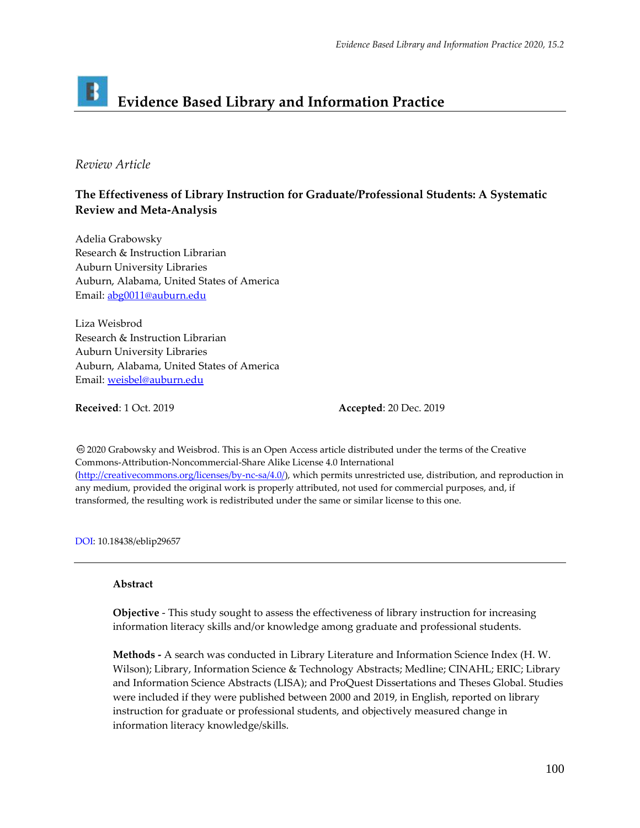# B **Evidence Based Library and Information Practice**

## *Review Article*

# **The Effectiveness of Library Instruction for Graduate/Professional Students: A Systematic Review and Meta-Analysis**

Adelia Grabowsky Research & Instruction Librarian Auburn University Libraries Auburn, Alabama, United States of America Email: [abg0011@auburn.edu](mailto:abg0011@auburn.edu)

Liza Weisbrod Research & Instruction Librarian Auburn University Libraries Auburn, Alabama, United States of America Email: [weisbel@auburn.edu](mailto:weisbel@auburn.edu)

**Received**: 1 Oct. 2019 **Accepted**: 20 Dec. 2019

2020 Grabowsky and Weisbrod. This is an Open Access article distributed under the terms of the Creative Commons‐Attribution‐Noncommercial‐Share Alike License 4.0 International [\(http://creativecommons.org/licenses/by-nc-sa/4.0/\)](http://creativecommons.org/licenses/by-nc-sa/4.0/), which permits unrestricted use, distribution, and reproduction in any medium, provided the original work is properly attributed, not used for commercial purposes, and, if transformed, the resulting work is redistributed under the same or similar license to this one.

DOI: 10.18438/eblip29657

#### **Abstract**

**Objective** - This study sought to assess the effectiveness of library instruction for increasing information literacy skills and/or knowledge among graduate and professional students.

**Methods -** A search was conducted in Library Literature and Information Science Index (H. W. Wilson); Library, Information Science & Technology Abstracts; Medline; CINAHL; ERIC; Library and Information Science Abstracts (LISA); and ProQuest Dissertations and Theses Global. Studies were included if they were published between 2000 and 2019, in English, reported on library instruction for graduate or professional students, and objectively measured change in information literacy knowledge/skills.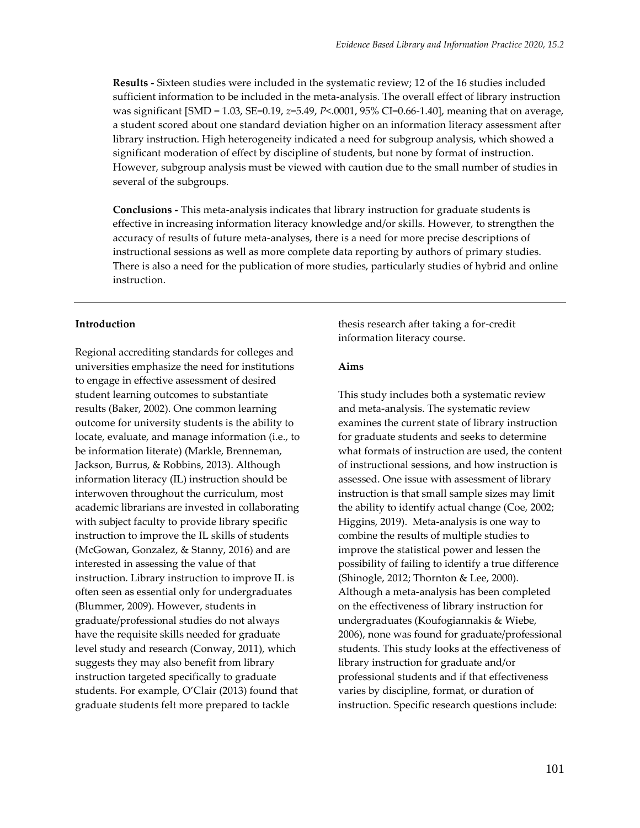**Results -** Sixteen studies were included in the systematic review; 12 of the 16 studies included sufficient information to be included in the meta-analysis. The overall effect of library instruction was significant [SMD = 1.03, SE=0.19, *z*=5.49, *P*<.0001, 95% CI=0.66-1.40], meaning that on average, a student scored about one standard deviation higher on an information literacy assessment after library instruction. High heterogeneity indicated a need for subgroup analysis, which showed a significant moderation of effect by discipline of students, but none by format of instruction. However, subgroup analysis must be viewed with caution due to the small number of studies in several of the subgroups.

**Conclusions -** This meta-analysis indicates that library instruction for graduate students is effective in increasing information literacy knowledge and/or skills. However, to strengthen the accuracy of results of future meta-analyses, there is a need for more precise descriptions of instructional sessions as well as more complete data reporting by authors of primary studies. There is also a need for the publication of more studies, particularly studies of hybrid and online instruction.

#### **Introduction**

Regional accrediting standards for colleges and universities emphasize the need for institutions to engage in effective assessment of desired student learning outcomes to substantiate results (Baker, 2002). One common learning outcome for university students is the ability to locate, evaluate, and manage information (i.e., to be information literate) (Markle, Brenneman, Jackson, Burrus, & Robbins, 2013). Although information literacy (IL) instruction should be interwoven throughout the curriculum, most academic librarians are invested in collaborating with subject faculty to provide library specific instruction to improve the IL skills of students (McGowan, Gonzalez, & Stanny, 2016) and are interested in assessing the value of that instruction. Library instruction to improve IL is often seen as essential only for undergraduates (Blummer, 2009). However, students in graduate/professional studies do not always have the requisite skills needed for graduate level study and research (Conway, 2011), which suggests they may also benefit from library instruction targeted specifically to graduate students. For example, O'Clair (2013) found that graduate students felt more prepared to tackle

thesis research after taking a for-credit information literacy course.

#### **Aims**

This study includes both a systematic review and meta-analysis. The systematic review examines the current state of library instruction for graduate students and seeks to determine what formats of instruction are used, the content of instructional sessions, and how instruction is assessed. One issue with assessment of library instruction is that small sample sizes may limit the ability to identify actual change (Coe, 2002; Higgins, 2019). Meta-analysis is one way to combine the results of multiple studies to improve the statistical power and lessen the possibility of failing to identify a true difference (Shinogle, 2012; Thornton & Lee, 2000). Although a meta-analysis has been completed on the effectiveness of library instruction for undergraduates (Koufogiannakis & Wiebe, 2006), none was found for graduate/professional students. This study looks at the effectiveness of library instruction for graduate and/or professional students and if that effectiveness varies by discipline, format, or duration of instruction. Specific research questions include: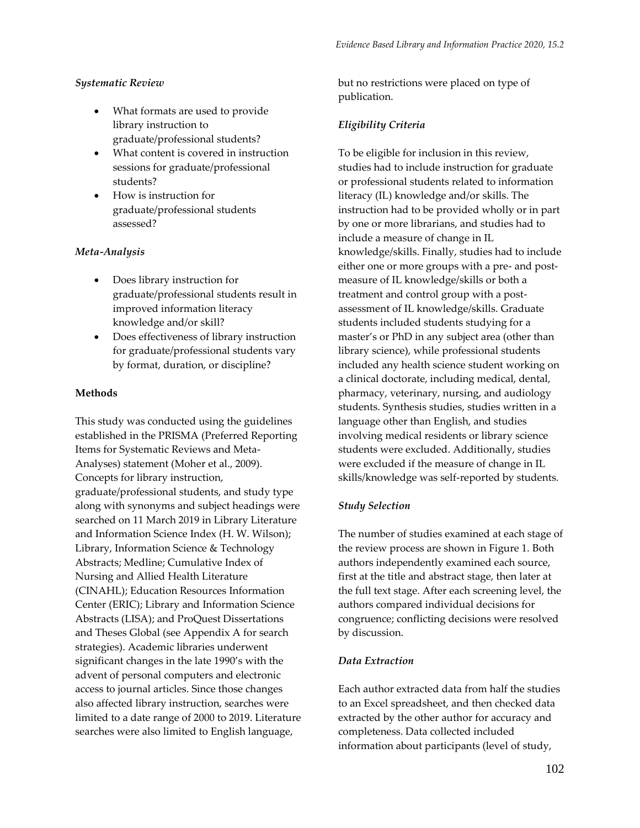#### *Systematic Review*

- What formats are used to provide library instruction to graduate/professional students?
- What content is covered in instruction sessions for graduate/professional students?
- How is instruction for graduate/professional students assessed?

#### *Meta-Analysis*

- Does library instruction for graduate/professional students result in improved information literacy knowledge and/or skill?
- Does effectiveness of library instruction for graduate/professional students vary by format, duration, or discipline?

#### **Methods**

This study was conducted using the guidelines established in the PRISMA (Preferred Reporting Items for Systematic Reviews and Meta-Analyses) statement (Moher et al., 2009). Concepts for library instruction, graduate/professional students, and study type along with synonyms and subject headings were searched on 11 March 2019 in Library Literature and Information Science Index (H. W. Wilson); Library, Information Science & Technology Abstracts; Medline; Cumulative Index of Nursing and Allied Health Literature (CINAHL); Education Resources Information Center (ERIC); Library and Information Science Abstracts (LISA); and ProQuest Dissertations and Theses Global (see Appendix A for search strategies). Academic libraries underwent significant changes in the late 1990's with the advent of personal computers and electronic access to journal articles. Since those changes also affected library instruction, searches were limited to a date range of 2000 to 2019. Literature searches were also limited to English language,

but no restrictions were placed on type of publication.

## *Eligibility Criteria*

To be eligible for inclusion in this review, studies had to include instruction for graduate or professional students related to information literacy (IL) knowledge and/or skills. The instruction had to be provided wholly or in part by one or more librarians, and studies had to include a measure of change in IL knowledge/skills. Finally, studies had to include either one or more groups with a pre- and postmeasure of IL knowledge/skills or both a treatment and control group with a postassessment of IL knowledge/skills. Graduate students included students studying for a master's or PhD in any subject area (other than library science), while professional students included any health science student working on a clinical doctorate, including medical, dental, pharmacy, veterinary, nursing, and audiology students. Synthesis studies, studies written in a language other than English, and studies involving medical residents or library science students were excluded. Additionally, studies were excluded if the measure of change in IL skills/knowledge was self-reported by students.

#### *Study Selection*

The number of studies examined at each stage of the review process are shown in Figure 1. Both authors independently examined each source, first at the title and abstract stage, then later at the full text stage. After each screening level, the authors compared individual decisions for congruence; conflicting decisions were resolved by discussion.

#### *Data Extraction*

Each author extracted data from half the studies to an Excel spreadsheet, and then checked data extracted by the other author for accuracy and completeness. Data collected included information about participants (level of study,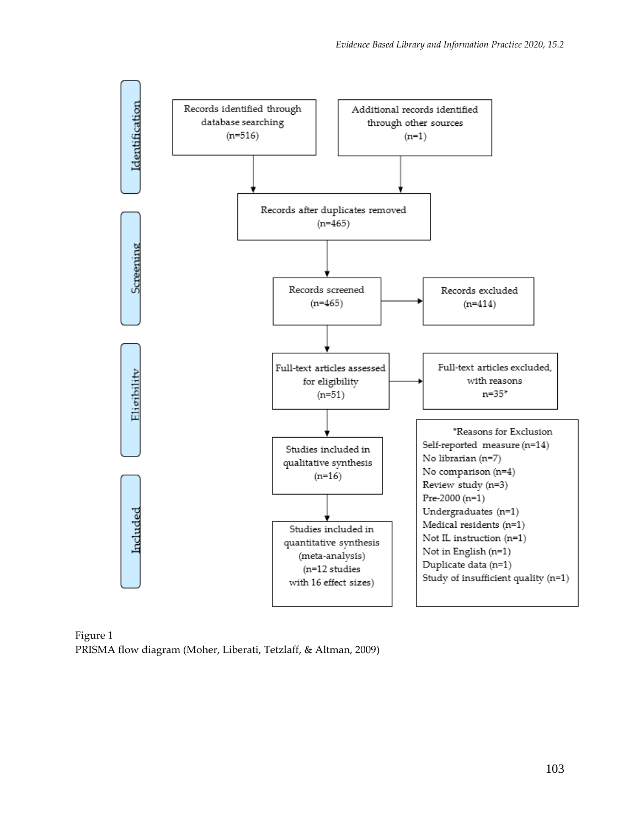

Figure 1 PRISMA flow diagram (Moher, Liberati, Tetzlaff, & Altman, 2009)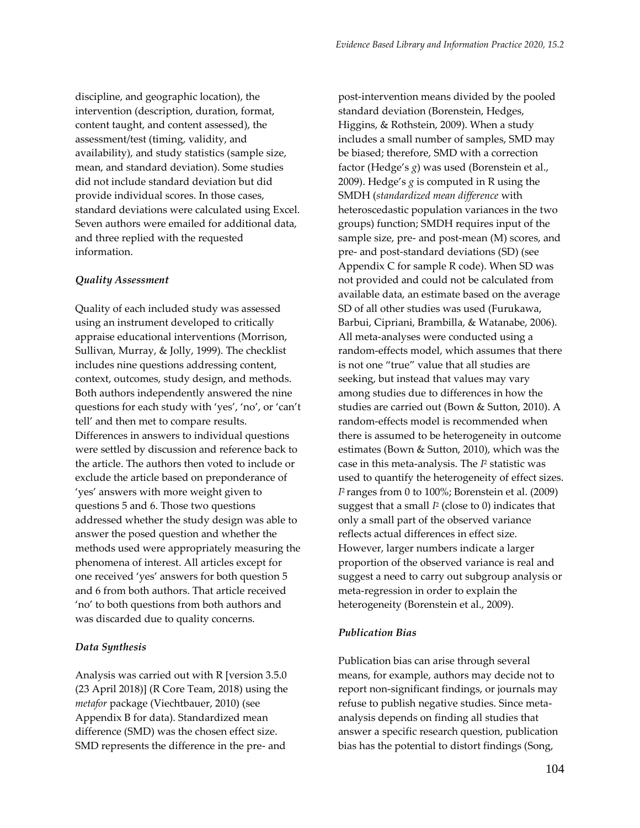discipline, and geographic location), the intervention (description, duration, format, content taught, and content assessed), the assessment/test (timing, validity, and availability), and study statistics (sample size, mean, and standard deviation). Some studies did not include standard deviation but did provide individual scores. In those cases, standard deviations were calculated using Excel. Seven authors were emailed for additional data, and three replied with the requested information.

#### *Quality Assessment*

Quality of each included study was assessed using an instrument developed to critically appraise educational interventions (Morrison, Sullivan, Murray, & Jolly, 1999). The checklist includes nine questions addressing content, context, outcomes, study design, and methods. Both authors independently answered the nine questions for each study with 'yes', 'no', or 'can't tell' and then met to compare results. Differences in answers to individual questions were settled by discussion and reference back to the article. The authors then voted to include or exclude the article based on preponderance of 'yes' answers with more weight given to questions 5 and 6. Those two questions addressed whether the study design was able to answer the posed question and whether the methods used were appropriately measuring the phenomena of interest. All articles except for one received 'yes' answers for both question 5 and 6 from both authors. That article received 'no' to both questions from both authors and was discarded due to quality concerns.

#### *Data Synthesis*

Analysis was carried out with R [version 3.5.0 (23 April 2018)] (R Core Team, 2018) using the *metafor* package (Viechtbauer, 2010) (see Appendix B for data). Standardized mean difference (SMD) was the chosen effect size. SMD represents the difference in the pre- and

post-intervention means divided by the pooled standard deviation (Borenstein, Hedges, Higgins, & Rothstein, 2009). When a study includes a small number of samples, SMD may be biased; therefore, SMD with a correction factor (Hedge's *g*) was used (Borenstein et al., 2009). Hedge's *g* is computed in R using the SMDH (*standardized mean difference* with heteroscedastic population variances in the two groups) function; SMDH requires input of the sample size, pre- and post-mean (M) scores, and pre- and post-standard deviations (SD) (see Appendix C for sample R code). When SD was not provided and could not be calculated from available data, an estimate based on the average SD of all other studies was used (Furukawa, Barbui, Cipriani, Brambilla, & Watanabe, 2006). All meta-analyses were conducted using a random-effects model, which assumes that there is not one "true" value that all studies are seeking, but instead that values may vary among studies due to differences in how the studies are carried out (Bown & Sutton, 2010). A random-effects model is recommended when there is assumed to be heterogeneity in outcome estimates (Bown & Sutton, 2010), which was the case in this meta-analysis. The *I* <sup>2</sup> statistic was used to quantify the heterogeneity of effect sizes. *I* <sup>2</sup>ranges from 0 to 100%; Borenstein et al. (2009) suggest that a small *I* 2 (close to 0) indicates that only a small part of the observed variance reflects actual differences in effect size. However, larger numbers indicate a larger proportion of the observed variance is real and suggest a need to carry out subgroup analysis or meta-regression in order to explain the heterogeneity (Borenstein et al., 2009).

#### *Publication Bias*

Publication bias can arise through several means, for example, authors may decide not to report non-significant findings, or journals may refuse to publish negative studies. Since metaanalysis depends on finding all studies that answer a specific research question, publication bias has the potential to distort findings (Song,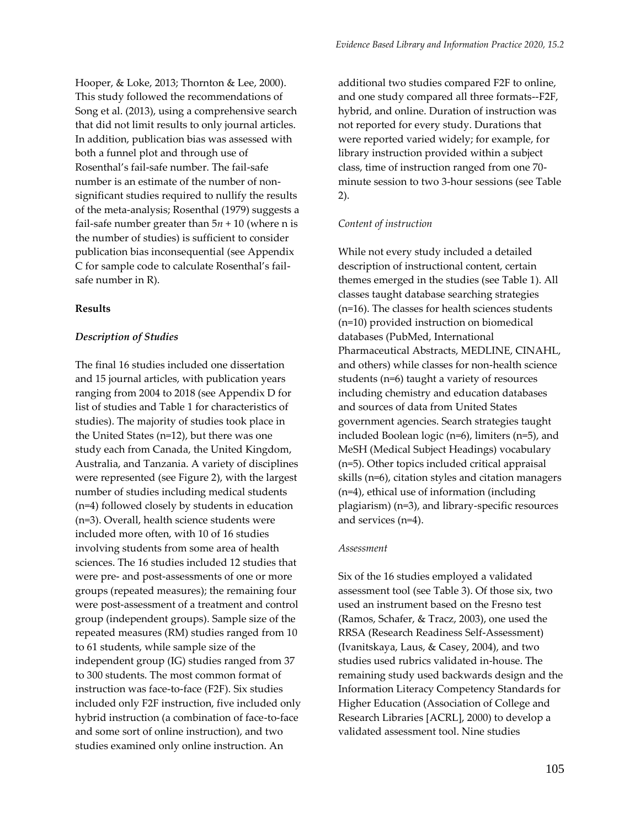Hooper, & Loke, 2013; Thornton & Lee, 2000). This study followed the recommendations of Song et al. (2013), using a comprehensive search that did not limit results to only journal articles. In addition, publication bias was assessed with both a funnel plot and through use of Rosenthal's fail-safe number. The fail-safe number is an estimate of the number of nonsignificant studies required to nullify the results of the meta-analysis; Rosenthal (1979) suggests a fail-safe number greater than  $5n + 10$  (where n is the number of studies) is sufficient to consider publication bias inconsequential (see Appendix C for sample code to calculate Rosenthal's failsafe number in R).

#### **Results**

#### *Description of Studies*

The final 16 studies included one dissertation and 15 journal articles, with publication years ranging from 2004 to 2018 (see Appendix D for list of studies and Table 1 for characteristics of studies). The majority of studies took place in the United States (n=12), but there was one study each from Canada, the United Kingdom, Australia, and Tanzania. A variety of disciplines were represented (see Figure 2), with the largest number of studies including medical students (n=4) followed closely by students in education (n=3). Overall, health science students were included more often, with 10 of 16 studies involving students from some area of health sciences. The 16 studies included 12 studies that were pre- and post-assessments of one or more groups (repeated measures); the remaining four were post-assessment of a treatment and control group (independent groups). Sample size of the repeated measures (RM) studies ranged from 10 to 61 students, while sample size of the independent group (IG) studies ranged from 37 to 300 students. The most common format of instruction was face-to-face (F2F). Six studies included only F2F instruction, five included only hybrid instruction (a combination of face-to-face and some sort of online instruction), and two studies examined only online instruction. An

additional two studies compared F2F to online, and one study compared all three formats--F2F, hybrid, and online. Duration of instruction was not reported for every study. Durations that were reported varied widely; for example, for library instruction provided within a subject class, time of instruction ranged from one 70 minute session to two 3-hour sessions (see Table 2).

#### *Content of instruction*

While not every study included a detailed description of instructional content, certain themes emerged in the studies (see Table 1). All classes taught database searching strategies (n=16). The classes for health sciences students (n=10) provided instruction on biomedical databases (PubMed, International Pharmaceutical Abstracts, MEDLINE, CINAHL, and others) while classes for non-health science students (n=6) taught a variety of resources including chemistry and education databases and sources of data from United States government agencies. Search strategies taught included Boolean logic (n=6), limiters (n=5), and MeSH (Medical Subject Headings) vocabulary (n=5). Other topics included critical appraisal skills (n=6), citation styles and citation managers (n=4), ethical use of information (including plagiarism) (n=3), and library-specific resources and services (n=4).

#### *Assessment*

Six of the 16 studies employed a validated assessment tool (see Table 3). Of those six, two used an instrument based on the Fresno test (Ramos, Schafer, & Tracz, 2003), one used the RRSA (Research Readiness Self-Assessment) (Ivanitskaya, Laus, & Casey, 2004), and two studies used rubrics validated in-house. The remaining study used backwards design and the Information Literacy Competency Standards for Higher Education (Association of College and Research Libraries [ACRL], 2000) to develop a validated assessment tool. Nine studies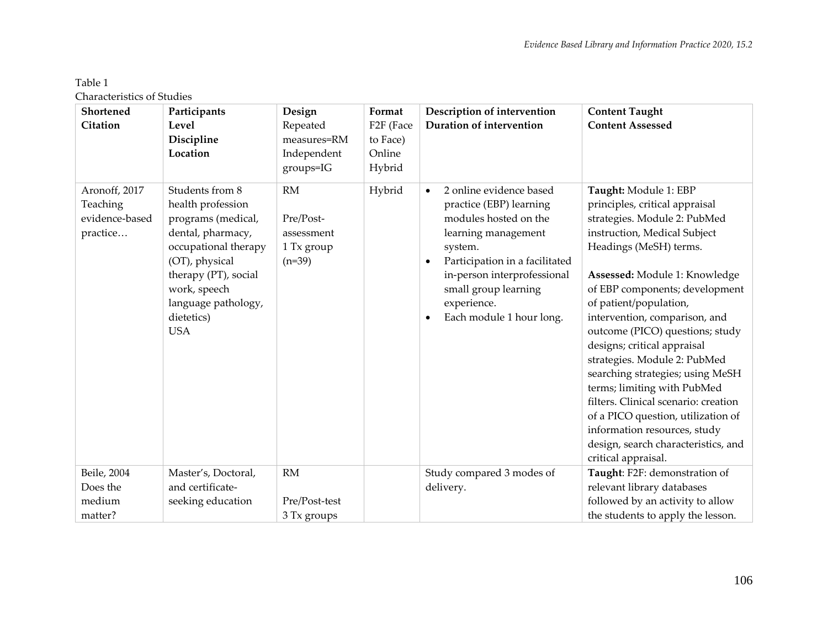# Table 1

Characteristics of Studies

| Shortened                                               | Participants                                                                                                                                                                                                         | Design                                                         | Format                                      | Description of intervention                                                                                                                                                                                                                                                 | <b>Content Taught</b>                                                                                                                                                                                                                                                                                                                                                                                                                                                                                                                                                                                                            |
|---------------------------------------------------------|----------------------------------------------------------------------------------------------------------------------------------------------------------------------------------------------------------------------|----------------------------------------------------------------|---------------------------------------------|-----------------------------------------------------------------------------------------------------------------------------------------------------------------------------------------------------------------------------------------------------------------------------|----------------------------------------------------------------------------------------------------------------------------------------------------------------------------------------------------------------------------------------------------------------------------------------------------------------------------------------------------------------------------------------------------------------------------------------------------------------------------------------------------------------------------------------------------------------------------------------------------------------------------------|
| <b>Citation</b>                                         | Level<br>Discipline<br>Location                                                                                                                                                                                      | Repeated<br>measures=RM<br>Independent                         | F <sub>2F</sub> (Face<br>to Face)<br>Online | Duration of intervention                                                                                                                                                                                                                                                    | <b>Content Assessed</b>                                                                                                                                                                                                                                                                                                                                                                                                                                                                                                                                                                                                          |
|                                                         |                                                                                                                                                                                                                      | groups=IG                                                      | Hybrid                                      |                                                                                                                                                                                                                                                                             |                                                                                                                                                                                                                                                                                                                                                                                                                                                                                                                                                                                                                                  |
| Aronoff, 2017<br>Teaching<br>evidence-based<br>practice | Students from 8<br>health profession<br>programs (medical,<br>dental, pharmacy,<br>occupational therapy<br>(OT), physical<br>therapy (PT), social<br>work, speech<br>language pathology,<br>dietetics)<br><b>USA</b> | <b>RM</b><br>Pre/Post-<br>assessment<br>1 Tx group<br>$(n=39)$ | Hybrid                                      | 2 online evidence based<br>$\bullet$<br>practice (EBP) learning<br>modules hosted on the<br>learning management<br>system.<br>Participation in a facilitated<br>$\bullet$<br>in-person interprofessional<br>small group learning<br>experience.<br>Each module 1 hour long. | Taught: Module 1: EBP<br>principles, critical appraisal<br>strategies. Module 2: PubMed<br>instruction, Medical Subject<br>Headings (MeSH) terms.<br>Assessed: Module 1: Knowledge<br>of EBP components; development<br>of patient/population,<br>intervention, comparison, and<br>outcome (PICO) questions; study<br>designs; critical appraisal<br>strategies. Module 2: PubMed<br>searching strategies; using MeSH<br>terms; limiting with PubMed<br>filters. Clinical scenario: creation<br>of a PICO question, utilization of<br>information resources, study<br>design, search characteristics, and<br>critical appraisal. |
| Beile, 2004<br>Does the                                 | Master's, Doctoral,<br>and certificate-                                                                                                                                                                              | RM                                                             |                                             | Study compared 3 modes of<br>delivery.                                                                                                                                                                                                                                      | Taught: F2F: demonstration of<br>relevant library databases                                                                                                                                                                                                                                                                                                                                                                                                                                                                                                                                                                      |
| medium                                                  | seeking education                                                                                                                                                                                                    | Pre/Post-test                                                  |                                             |                                                                                                                                                                                                                                                                             | followed by an activity to allow                                                                                                                                                                                                                                                                                                                                                                                                                                                                                                                                                                                                 |
| matter?                                                 |                                                                                                                                                                                                                      | 3 Tx groups                                                    |                                             |                                                                                                                                                                                                                                                                             | the students to apply the lesson.                                                                                                                                                                                                                                                                                                                                                                                                                                                                                                                                                                                                |
|                                                         |                                                                                                                                                                                                                      |                                                                |                                             |                                                                                                                                                                                                                                                                             |                                                                                                                                                                                                                                                                                                                                                                                                                                                                                                                                                                                                                                  |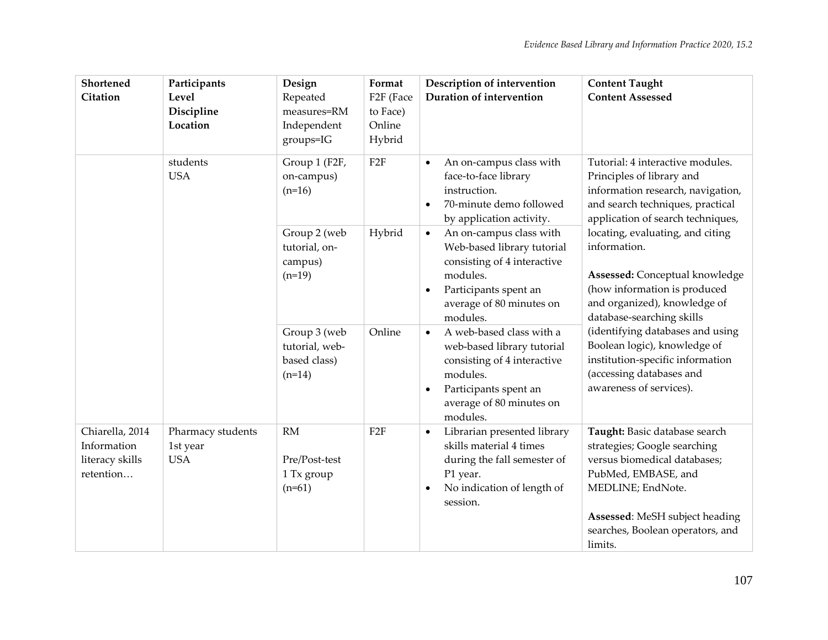| Shortened<br>Citation                                          | Participants<br>Level<br>Discipline<br>Location | Design<br>Repeated<br>measures=RM<br>Independent<br>groups=IG | Format<br>F <sub>2F</sub> (Face<br>to Face)<br>Online<br>Hybrid | Description of intervention<br>Duration of intervention                                                                                                                                      | <b>Content Taught</b><br><b>Content Assessed</b>                                                                                                                                                                           |
|----------------------------------------------------------------|-------------------------------------------------|---------------------------------------------------------------|-----------------------------------------------------------------|----------------------------------------------------------------------------------------------------------------------------------------------------------------------------------------------|----------------------------------------------------------------------------------------------------------------------------------------------------------------------------------------------------------------------------|
|                                                                | students<br><b>USA</b>                          | Group 1 (F2F,<br>on-campus)<br>$(n=16)$                       | F <sub>2F</sub>                                                 | An on-campus class with<br>$\bullet$<br>face-to-face library<br>instruction.<br>70-minute demo followed<br>$\bullet$<br>by application activity.                                             | Tutorial: 4 interactive modules.<br>Principles of library and<br>information research, navigation,<br>and search techniques, practical<br>application of search techniques,                                                |
|                                                                |                                                 | Group 2 (web<br>tutorial, on-<br>campus)<br>$(n=19)$          | Hybrid                                                          | An on-campus class with<br>$\bullet$<br>Web-based library tutorial<br>consisting of 4 interactive<br>modules.<br>Participants spent an<br>$\bullet$<br>average of 80 minutes on<br>modules.  | locating, evaluating, and citing<br>information.<br>Assessed: Conceptual knowledge<br>(how information is produced<br>and organized), knowledge of<br>database-searching skills                                            |
|                                                                |                                                 | Group 3 (web<br>tutorial, web-<br>based class)<br>$(n=14)$    | Online                                                          | A web-based class with a<br>$\bullet$<br>web-based library tutorial<br>consisting of 4 interactive<br>modules.<br>Participants spent an<br>$\bullet$<br>average of 80 minutes on<br>modules. | (identifying databases and using<br>Boolean logic), knowledge of<br>institution-specific information<br>(accessing databases and<br>awareness of services).                                                                |
| Chiarella, 2014<br>Information<br>literacy skills<br>retention | Pharmacy students<br>1st year<br><b>USA</b>     | <b>RM</b><br>Pre/Post-test<br>1 Tx group<br>$(n=61)$          | F <sub>2F</sub>                                                 | Librarian presented library<br>$\bullet$<br>skills material 4 times<br>during the fall semester of<br>P1 year.<br>No indication of length of<br>$\bullet$<br>session.                        | Taught: Basic database search<br>strategies; Google searching<br>versus biomedical databases;<br>PubMed, EMBASE, and<br>MEDLINE; EndNote.<br>Assessed: MeSH subject heading<br>searches, Boolean operators, and<br>limits. |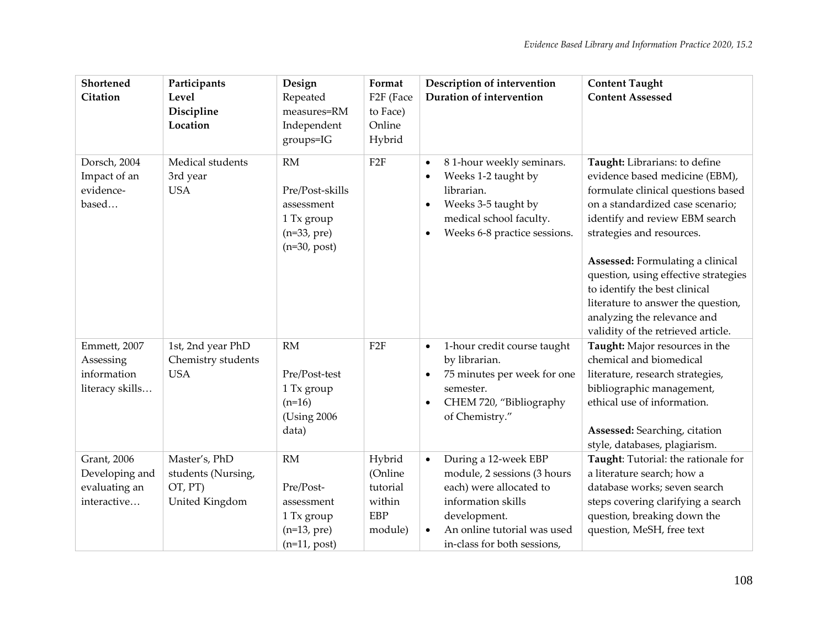| Shortened<br><b>Citation</b>                                  | Participants<br>Level<br>Discipline<br>Location                  | Design<br>Repeated<br>measures=RM<br>Independent<br>groups=IG                         | Format<br>F <sub>2F</sub> (Face<br>to Face)<br>Online<br>Hybrid  | Description of intervention<br>Duration of intervention                                                                                                                                                      | <b>Content Taught</b><br><b>Content Assessed</b>                                                                                                                                                                                                                                                                                                                                                                                 |
|---------------------------------------------------------------|------------------------------------------------------------------|---------------------------------------------------------------------------------------|------------------------------------------------------------------|--------------------------------------------------------------------------------------------------------------------------------------------------------------------------------------------------------------|----------------------------------------------------------------------------------------------------------------------------------------------------------------------------------------------------------------------------------------------------------------------------------------------------------------------------------------------------------------------------------------------------------------------------------|
| Dorsch, 2004<br>Impact of an<br>evidence-<br>based            | Medical students<br>3rd year<br><b>USA</b>                       | RM<br>Pre/Post-skills<br>assessment<br>1 Tx group<br>$(n=33, pre)$<br>$(n=30, post)$  | F <sub>2F</sub>                                                  | 81-hour weekly seminars.<br>$\bullet$<br>Weeks 1-2 taught by<br>$\bullet$<br>librarian.<br>Weeks 3-5 taught by<br>$\bullet$<br>medical school faculty.<br>Weeks 6-8 practice sessions.<br>$\bullet$          | Taught: Librarians: to define<br>evidence based medicine (EBM),<br>formulate clinical questions based<br>on a standardized case scenario;<br>identify and review EBM search<br>strategies and resources.<br>Assessed: Formulating a clinical<br>question, using effective strategies<br>to identify the best clinical<br>literature to answer the question,<br>analyzing the relevance and<br>validity of the retrieved article. |
| Emmett, 2007<br>Assessing<br>information<br>literacy skills   | 1st, 2nd year PhD<br>Chemistry students<br><b>USA</b>            | RM<br>Pre/Post-test<br>1 Tx group<br>$(n=16)$<br>(Using 2006)<br>data)                | F <sub>2F</sub>                                                  | 1-hour credit course taught<br>$\bullet$<br>by librarian.<br>75 minutes per week for one<br>$\bullet$<br>semester.<br>CHEM 720, "Bibliography<br>$\bullet$<br>of Chemistry."                                 | Taught: Major resources in the<br>chemical and biomedical<br>literature, research strategies,<br>bibliographic management,<br>ethical use of information.<br>Assessed: Searching, citation<br>style, databases, plagiarism.                                                                                                                                                                                                      |
| Grant, 2006<br>Developing and<br>evaluating an<br>interactive | Master's, PhD<br>students (Nursing,<br>OT, PT)<br>United Kingdom | <b>RM</b><br>Pre/Post-<br>assessment<br>1 Tx group<br>$(n=13, pre)$<br>$(n=11, post)$ | Hybrid<br>(Online<br>tutorial<br>within<br><b>EBP</b><br>module) | During a 12-week EBP<br>$\bullet$<br>module, 2 sessions (3 hours<br>each) were allocated to<br>information skills<br>development.<br>An online tutorial was used<br>$\bullet$<br>in-class for both sessions, | Taught: Tutorial: the rationale for<br>a literature search; how a<br>database works; seven search<br>steps covering clarifying a search<br>question, breaking down the<br>question, MeSH, free text                                                                                                                                                                                                                              |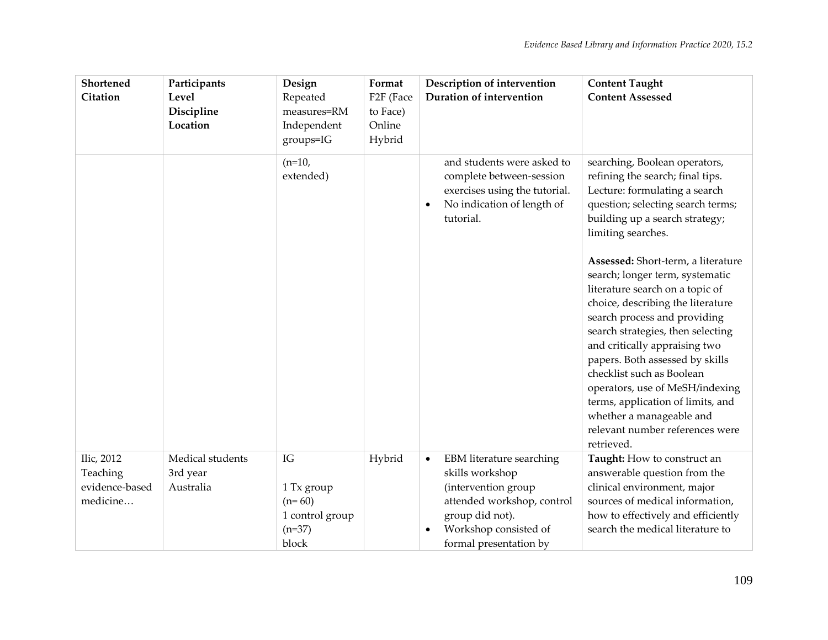| Shortened                                            | Participants                              | Design                                                               | Format                            | Description of intervention                                                                                                                                                                      | <b>Content Taught</b>                                                                                                                                                                                                                                                                                                                                                                                                                                                    |
|------------------------------------------------------|-------------------------------------------|----------------------------------------------------------------------|-----------------------------------|--------------------------------------------------------------------------------------------------------------------------------------------------------------------------------------------------|--------------------------------------------------------------------------------------------------------------------------------------------------------------------------------------------------------------------------------------------------------------------------------------------------------------------------------------------------------------------------------------------------------------------------------------------------------------------------|
| <b>Citation</b>                                      | Level<br>Discipline                       | Repeated<br>measures=RM                                              | F <sub>2F</sub> (Face<br>to Face) | Duration of intervention                                                                                                                                                                         | <b>Content Assessed</b>                                                                                                                                                                                                                                                                                                                                                                                                                                                  |
|                                                      | Location                                  | Independent                                                          | Online                            |                                                                                                                                                                                                  |                                                                                                                                                                                                                                                                                                                                                                                                                                                                          |
|                                                      |                                           | groups=IG                                                            | Hybrid                            |                                                                                                                                                                                                  |                                                                                                                                                                                                                                                                                                                                                                                                                                                                          |
|                                                      |                                           | $(n=10,$<br>extended)                                                |                                   | and students were asked to<br>complete between-session<br>exercises using the tutorial.<br>No indication of length of<br>$\bullet$<br>tutorial.                                                  | searching, Boolean operators,<br>refining the search; final tips.<br>Lecture: formulating a search<br>question; selecting search terms;<br>building up a search strategy;<br>limiting searches.                                                                                                                                                                                                                                                                          |
|                                                      |                                           |                                                                      |                                   |                                                                                                                                                                                                  | Assessed: Short-term, a literature<br>search; longer term, systematic<br>literature search on a topic of<br>choice, describing the literature<br>search process and providing<br>search strategies, then selecting<br>and critically appraising two<br>papers. Both assessed by skills<br>checklist such as Boolean<br>operators, use of MeSH/indexing<br>terms, application of limits, and<br>whether a manageable and<br>relevant number references were<br>retrieved. |
| Ilic, 2012<br>Teaching<br>evidence-based<br>medicine | Medical students<br>3rd year<br>Australia | IG<br>1 Tx group<br>$(n=60)$<br>1 control group<br>$(n=37)$<br>block | Hybrid                            | EBM literature searching<br>$\bullet$<br>skills workshop<br>(intervention group<br>attended workshop, control<br>group did not).<br>Workshop consisted of<br>$\bullet$<br>formal presentation by | Taught: How to construct an<br>answerable question from the<br>clinical environment, major<br>sources of medical information,<br>how to effectively and efficiently<br>search the medical literature to                                                                                                                                                                                                                                                                  |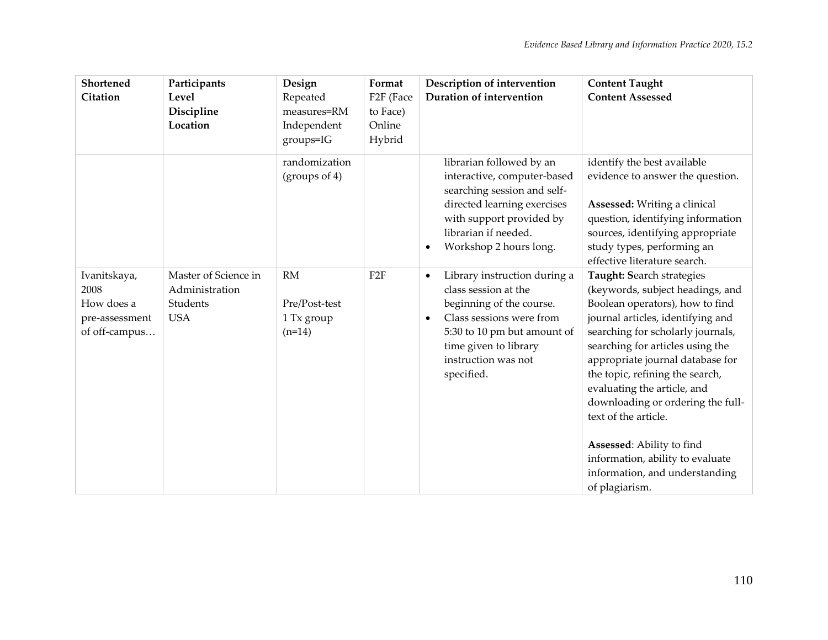| Shortened<br><b>Citation</b>                                          | Participants<br>Level<br>Discipline<br>Location                  | Design<br>Repeated<br>measures=RM<br>Independent<br>groups=IG | Format<br>F <sub>2F</sub> (Face<br>to Face)<br>Online<br>Hybrid | Description of intervention<br>Duration of intervention                                                                                                                                                                             | <b>Content Taught</b><br><b>Content Assessed</b>                                                                                                                                                                                                                                                                                                                                                                                                                                                       |
|-----------------------------------------------------------------------|------------------------------------------------------------------|---------------------------------------------------------------|-----------------------------------------------------------------|-------------------------------------------------------------------------------------------------------------------------------------------------------------------------------------------------------------------------------------|--------------------------------------------------------------------------------------------------------------------------------------------------------------------------------------------------------------------------------------------------------------------------------------------------------------------------------------------------------------------------------------------------------------------------------------------------------------------------------------------------------|
|                                                                       |                                                                  | randomization<br>$(g_{\text{roughs of } 4)$                   |                                                                 | librarian followed by an<br>interactive, computer-based<br>searching session and self-<br>directed learning exercises<br>with support provided by<br>librarian if needed.<br>Workshop 2 hours long.<br>$\bullet$                    | identify the best available<br>evidence to answer the question.<br>Assessed: Writing a clinical<br>question, identifying information<br>sources, identifying appropriate<br>study types, performing an<br>effective literature search.                                                                                                                                                                                                                                                                 |
| Ivanitskaya,<br>2008<br>How does a<br>pre-assessment<br>of off-campus | Master of Science in<br>Administration<br>Students<br><b>USA</b> | <b>RM</b><br>Pre/Post-test<br>1 Tx group<br>$(n=14)$          | F <sub>2F</sub>                                                 | Library instruction during a<br>$\bullet$<br>class session at the<br>beginning of the course.<br>Class sessions were from<br>$\bullet$<br>5:30 to 10 pm but amount of<br>time given to library<br>instruction was not<br>specified. | Taught: Search strategies<br>(keywords, subject headings, and<br>Boolean operators), how to find<br>journal articles, identifying and<br>searching for scholarly journals,<br>searching for articles using the<br>appropriate journal database for<br>the topic, refining the search,<br>evaluating the article, and<br>downloading or ordering the full-<br>text of the article.<br>Assessed: Ability to find<br>information, ability to evaluate<br>information, and understanding<br>of plagiarism. |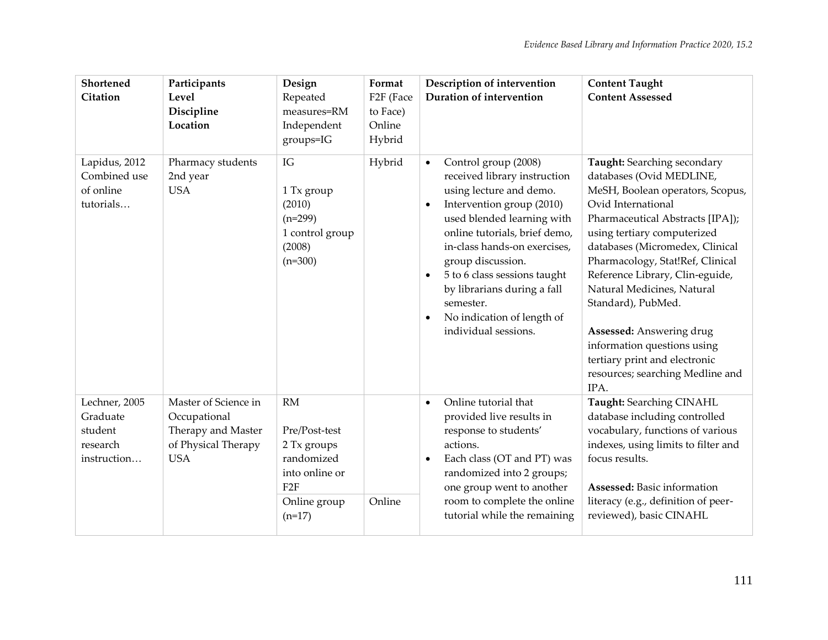| Shortened<br>Citation                                           | Participants<br>Level<br>Discipline<br>Location                                                 | Design<br>Repeated<br>measures=RM<br>Independent<br>groups=IG                                                | Format<br>F <sub>2F</sub> (Face<br>to Face)<br>Online<br>Hybrid | Description of intervention<br>Duration of intervention                                                                                                                                                                                                                                                                                                                                                   | <b>Content Taught</b><br><b>Content Assessed</b>                                                                                                                                                                                                                                                                                                                                                                                                                                           |
|-----------------------------------------------------------------|-------------------------------------------------------------------------------------------------|--------------------------------------------------------------------------------------------------------------|-----------------------------------------------------------------|-----------------------------------------------------------------------------------------------------------------------------------------------------------------------------------------------------------------------------------------------------------------------------------------------------------------------------------------------------------------------------------------------------------|--------------------------------------------------------------------------------------------------------------------------------------------------------------------------------------------------------------------------------------------------------------------------------------------------------------------------------------------------------------------------------------------------------------------------------------------------------------------------------------------|
| Lapidus, 2012<br>Combined use<br>of online<br>tutorials         | Pharmacy students<br>2nd year<br><b>USA</b>                                                     | IG<br>1 Tx group<br>(2010)<br>$(n=299)$<br>1 control group<br>(2008)<br>$(n=300)$                            | Hybrid                                                          | Control group (2008)<br>$\bullet$<br>received library instruction<br>using lecture and demo.<br>Intervention group (2010)<br>$\bullet$<br>used blended learning with<br>online tutorials, brief demo,<br>in-class hands-on exercises,<br>group discussion.<br>5 to 6 class sessions taught<br>by librarians during a fall<br>semester.<br>No indication of length of<br>$\bullet$<br>individual sessions. | Taught: Searching secondary<br>databases (Ovid MEDLINE,<br>MeSH, Boolean operators, Scopus,<br>Ovid International<br>Pharmaceutical Abstracts [IPA]);<br>using tertiary computerized<br>databases (Micromedex, Clinical<br>Pharmacology, Stat!Ref, Clinical<br>Reference Library, Clin-eguide,<br>Natural Medicines, Natural<br>Standard), PubMed.<br>Assessed: Answering drug<br>information questions using<br>tertiary print and electronic<br>resources; searching Medline and<br>IPA. |
| Lechner, 2005<br>Graduate<br>student<br>research<br>instruction | Master of Science in<br>Occupational<br>Therapy and Master<br>of Physical Therapy<br><b>USA</b> | <b>RM</b><br>Pre/Post-test<br>2 Tx groups<br>randomized<br>into online or<br>F2F<br>Online group<br>$(n=17)$ | Online                                                          | Online tutorial that<br>$\bullet$<br>provided live results in<br>response to students'<br>actions.<br>Each class (OT and PT) was<br>randomized into 2 groups;<br>one group went to another<br>room to complete the online<br>tutorial while the remaining                                                                                                                                                 | Taught: Searching CINAHL<br>database including controlled<br>vocabulary, functions of various<br>indexes, using limits to filter and<br>focus results.<br>Assessed: Basic information<br>literacy (e.g., definition of peer-<br>reviewed), basic CINAHL                                                                                                                                                                                                                                    |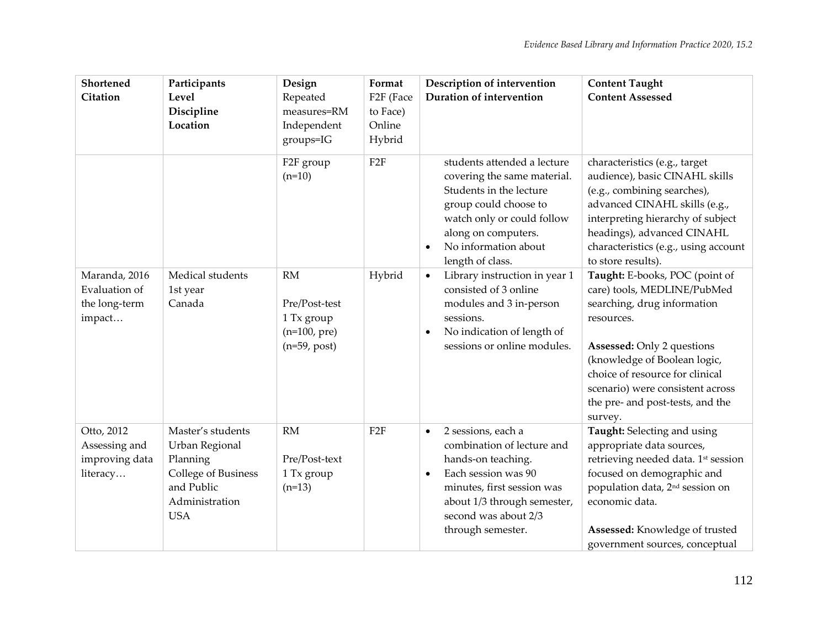| Shortened<br>Citation                                     | Participants<br>Level<br>Discipline                                                                                  | Design<br>Repeated<br>measures=RM                                            | Format<br>F <sub>2F</sub> (Face<br>to Face) | Description of intervention<br>Duration of intervention                                                                                                                                                                           | <b>Content Taught</b><br><b>Content Assessed</b>                                                                                                                                                                                                                                                      |
|-----------------------------------------------------------|----------------------------------------------------------------------------------------------------------------------|------------------------------------------------------------------------------|---------------------------------------------|-----------------------------------------------------------------------------------------------------------------------------------------------------------------------------------------------------------------------------------|-------------------------------------------------------------------------------------------------------------------------------------------------------------------------------------------------------------------------------------------------------------------------------------------------------|
|                                                           | Location                                                                                                             | Independent<br>groups=IG                                                     | Online<br>Hybrid                            |                                                                                                                                                                                                                                   |                                                                                                                                                                                                                                                                                                       |
|                                                           |                                                                                                                      | F2F group<br>$(n=10)$                                                        | F <sub>2F</sub>                             | students attended a lecture<br>covering the same material.<br>Students in the lecture<br>group could choose to<br>watch only or could follow<br>along on computers.<br>No information about<br>$\bullet$<br>length of class.      | characteristics (e.g., target<br>audience), basic CINAHL skills<br>(e.g., combining searches),<br>advanced CINAHL skills (e.g.,<br>interpreting hierarchy of subject<br>headings), advanced CINAHL<br>characteristics (e.g., using account<br>to store results).                                      |
| Maranda, 2016<br>Evaluation of<br>the long-term<br>impact | Medical students<br>1st year<br>Canada                                                                               | <b>RM</b><br>Pre/Post-test<br>1 Tx group<br>$(n=100, pre)$<br>$(n=59, post)$ | Hybrid                                      | Library instruction in year 1<br>$\bullet$<br>consisted of 3 online<br>modules and 3 in-person<br>sessions.<br>No indication of length of<br>$\bullet$<br>sessions or online modules.                                             | Taught: E-books, POC (point of<br>care) tools, MEDLINE/PubMed<br>searching, drug information<br>resources.<br><b>Assessed: Only 2 questions</b><br>(knowledge of Boolean logic,<br>choice of resource for clinical<br>scenario) were consistent across<br>the pre- and post-tests, and the<br>survey. |
| Otto, 2012<br>Assessing and<br>improving data<br>literacy | Master's students<br>Urban Regional<br>Planning<br>College of Business<br>and Public<br>Administration<br><b>USA</b> | <b>RM</b><br>Pre/Post-text<br>1 Tx group<br>$(n=13)$                         | F2F                                         | 2 sessions, each a<br>$\bullet$<br>combination of lecture and<br>hands-on teaching.<br>Each session was 90<br>$\bullet$<br>minutes, first session was<br>about 1/3 through semester,<br>second was about 2/3<br>through semester. | Taught: Selecting and using<br>appropriate data sources,<br>retrieving needed data. 1st session<br>focused on demographic and<br>population data, 2 <sup>nd</sup> session on<br>economic data.<br>Assessed: Knowledge of trusted<br>government sources, conceptual                                    |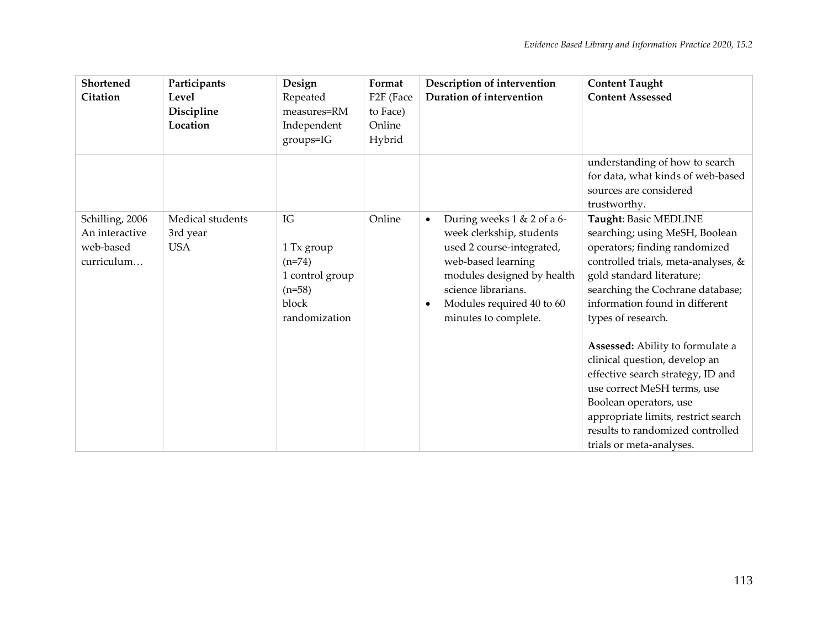| Shortened<br>Citation                                        | Participants<br>Level<br>Discipline<br>Location | Design<br>Repeated<br>measures=RM<br>Independent<br>$groups = IG$                     | Format<br>F <sub>2F</sub> (Face<br>to Face)<br>Online<br>Hybrid | Description of intervention<br>Duration of intervention                                                                                                                                                                                       | <b>Content Taught</b><br><b>Content Assessed</b>                                                                                                                                                                                                                       |
|--------------------------------------------------------------|-------------------------------------------------|---------------------------------------------------------------------------------------|-----------------------------------------------------------------|-----------------------------------------------------------------------------------------------------------------------------------------------------------------------------------------------------------------------------------------------|------------------------------------------------------------------------------------------------------------------------------------------------------------------------------------------------------------------------------------------------------------------------|
|                                                              |                                                 |                                                                                       |                                                                 |                                                                                                                                                                                                                                               | understanding of how to search<br>for data, what kinds of web-based<br>sources are considered<br>trustworthy.                                                                                                                                                          |
| Schilling, 2006<br>An interactive<br>web-based<br>curriculum | Medical students<br>3rd year<br><b>USA</b>      | IG<br>1 Tx group<br>$(n=74)$<br>1 control group<br>$(n=58)$<br>block<br>randomization | Online                                                          | During weeks 1 & 2 of a 6-<br>$\bullet$<br>week clerkship, students<br>used 2 course-integrated,<br>web-based learning<br>modules designed by health<br>science librarians.<br>Modules required 40 to 60<br>$\bullet$<br>minutes to complete. | Taught: Basic MEDLINE<br>searching; using MeSH, Boolean<br>operators; finding randomized<br>controlled trials, meta-analyses, &<br>gold standard literature;<br>searching the Cochrane database;<br>information found in different<br>types of research.               |
|                                                              |                                                 |                                                                                       |                                                                 |                                                                                                                                                                                                                                               | Assessed: Ability to formulate a<br>clinical question, develop an<br>effective search strategy, ID and<br>use correct MeSH terms, use<br>Boolean operators, use<br>appropriate limits, restrict search<br>results to randomized controlled<br>trials or meta-analyses. |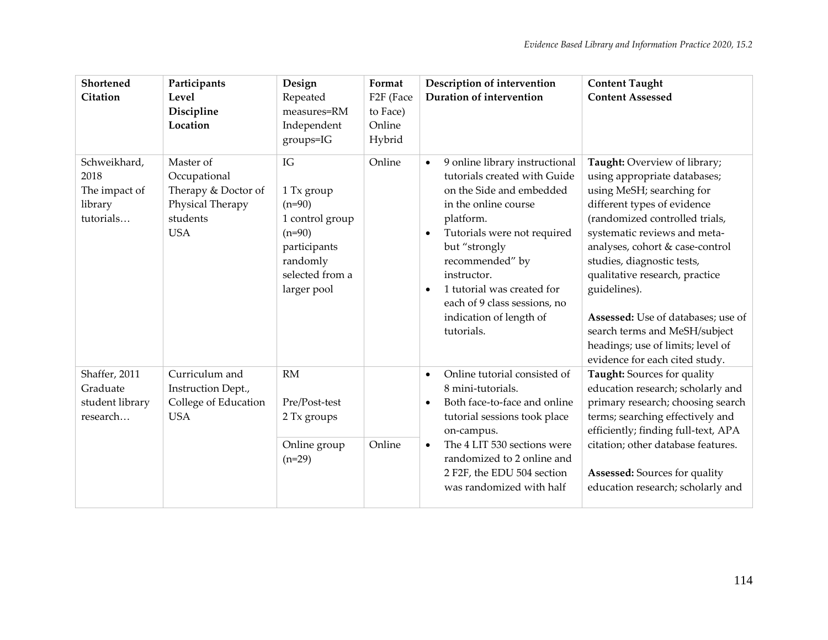| Shortened<br><b>Citation</b>                                  | Participants<br>Level<br>Discipline<br>Location                                                | Design<br>Repeated<br>measures=RM<br>Independent<br>groups=IG                                                             | Format<br>F <sub>2F</sub> (Face<br>to Face)<br>Online<br>Hybrid | Description of intervention<br>Duration of intervention                                                                                                                                                                                                                                                                                                         | <b>Content Taught</b><br><b>Content Assessed</b>                                                                                                                                                                                                                                                                                                                                                                                                            |
|---------------------------------------------------------------|------------------------------------------------------------------------------------------------|---------------------------------------------------------------------------------------------------------------------------|-----------------------------------------------------------------|-----------------------------------------------------------------------------------------------------------------------------------------------------------------------------------------------------------------------------------------------------------------------------------------------------------------------------------------------------------------|-------------------------------------------------------------------------------------------------------------------------------------------------------------------------------------------------------------------------------------------------------------------------------------------------------------------------------------------------------------------------------------------------------------------------------------------------------------|
| Schweikhard,<br>2018<br>The impact of<br>library<br>tutorials | Master of<br>Occupational<br>Therapy & Doctor of<br>Physical Therapy<br>students<br><b>USA</b> | IG<br>1 Tx group<br>$(n=90)$<br>1 control group<br>$(n=90)$<br>participants<br>randomly<br>selected from a<br>larger pool | Online                                                          | 9 online library instructional<br>$\bullet$<br>tutorials created with Guide<br>on the Side and embedded<br>in the online course<br>platform.<br>Tutorials were not required<br>$\bullet$<br>but "strongly<br>recommended" by<br>instructor.<br>1 tutorial was created for<br>$\bullet$<br>each of 9 class sessions, no<br>indication of length of<br>tutorials. | Taught: Overview of library;<br>using appropriate databases;<br>using MeSH; searching for<br>different types of evidence<br>(randomized controlled trials,<br>systematic reviews and meta-<br>analyses, cohort & case-control<br>studies, diagnostic tests,<br>qualitative research, practice<br>guidelines).<br>Assessed: Use of databases; use of<br>search terms and MeSH/subject<br>headings; use of limits; level of<br>evidence for each cited study. |
| Shaffer, 2011<br>Graduate<br>student library<br>research      | Curriculum and<br>Instruction Dept.,<br>College of Education<br><b>USA</b>                     | <b>RM</b><br>Pre/Post-test<br>2 Tx groups<br>Online group<br>$(n=29)$                                                     | Online                                                          | Online tutorial consisted of<br>$\bullet$<br>8 mini-tutorials.<br>Both face-to-face and online<br>tutorial sessions took place<br>on-campus.<br>The 4 LIT 530 sections were<br>$\bullet$<br>randomized to 2 online and<br>2 F2F, the EDU 504 section<br>was randomized with half                                                                                | Taught: Sources for quality<br>education research; scholarly and<br>primary research; choosing search<br>terms; searching effectively and<br>efficiently; finding full-text, APA<br>citation; other database features.<br>Assessed: Sources for quality<br>education research; scholarly and                                                                                                                                                                |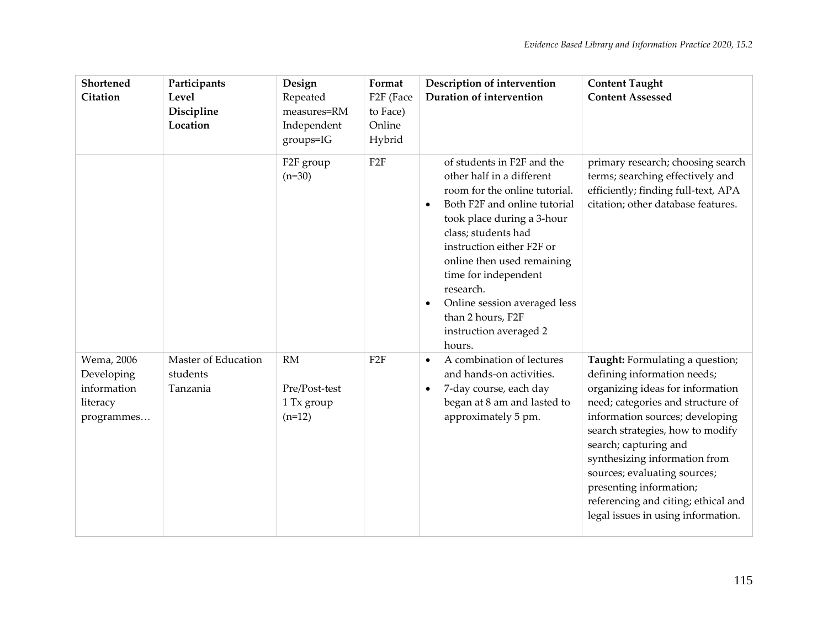| Shortened<br>Citation                                             | Participants<br>Level<br>Discipline<br>Location | Design<br>Repeated<br>measures=RM<br>Independent<br>groups=IG | Format<br>F <sub>2F</sub> (Face<br>to Face)<br>Online<br>Hybrid | Description of intervention<br>Duration of intervention                                                                                                                                                                                                                                                                                                                                          | <b>Content Taught</b><br><b>Content Assessed</b>                                                                                                                                                                                                                                                                                                                                                                 |
|-------------------------------------------------------------------|-------------------------------------------------|---------------------------------------------------------------|-----------------------------------------------------------------|--------------------------------------------------------------------------------------------------------------------------------------------------------------------------------------------------------------------------------------------------------------------------------------------------------------------------------------------------------------------------------------------------|------------------------------------------------------------------------------------------------------------------------------------------------------------------------------------------------------------------------------------------------------------------------------------------------------------------------------------------------------------------------------------------------------------------|
|                                                                   |                                                 | F2F group<br>$(n=30)$                                         | F2F                                                             | of students in F2F and the<br>other half in a different<br>room for the online tutorial.<br>Both F2F and online tutorial<br>$\bullet$<br>took place during a 3-hour<br>class; students had<br>instruction either F2F or<br>online then used remaining<br>time for independent<br>research.<br>Online session averaged less<br>$\bullet$<br>than 2 hours, F2F<br>instruction averaged 2<br>hours. | primary research; choosing search<br>terms; searching effectively and<br>efficiently; finding full-text, APA<br>citation; other database features.                                                                                                                                                                                                                                                               |
| Wema, 2006<br>Developing<br>information<br>literacy<br>programmes | Master of Education<br>students<br>Tanzania     | <b>RM</b><br>Pre/Post-test<br>1 Tx group<br>$(n=12)$          | F <sub>2F</sub>                                                 | A combination of lectures<br>$\bullet$<br>and hands-on activities.<br>7-day course, each day<br>$\bullet$<br>began at 8 am and lasted to<br>approximately 5 pm.                                                                                                                                                                                                                                  | Taught: Formulating a question;<br>defining information needs;<br>organizing ideas for information<br>need; categories and structure of<br>information sources; developing<br>search strategies, how to modify<br>search; capturing and<br>synthesizing information from<br>sources; evaluating sources;<br>presenting information;<br>referencing and citing; ethical and<br>legal issues in using information. |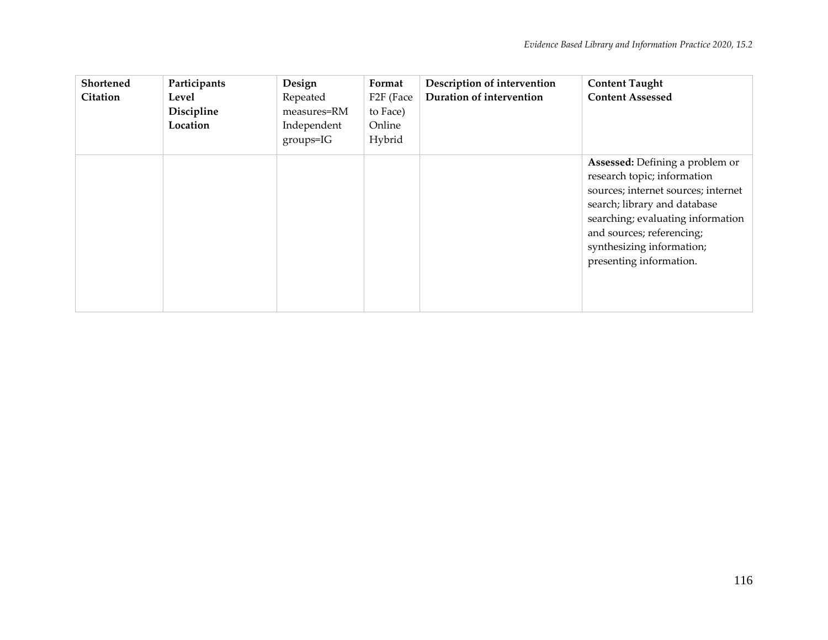| Shortened<br>Citation | Participants<br>Level<br>Discipline<br>Location | Design<br>Repeated<br>measures=RM<br>Independent<br>$groups = IG$ | Format<br>F2F (Face<br>to Face)<br>Online<br>Hybrid | Description of intervention<br>Duration of intervention | <b>Content Taught</b><br><b>Content Assessed</b>                                                                                                                                                                                                                |
|-----------------------|-------------------------------------------------|-------------------------------------------------------------------|-----------------------------------------------------|---------------------------------------------------------|-----------------------------------------------------------------------------------------------------------------------------------------------------------------------------------------------------------------------------------------------------------------|
|                       |                                                 |                                                                   |                                                     |                                                         | Assessed: Defining a problem or<br>research topic; information<br>sources; internet sources; internet<br>search; library and database<br>searching; evaluating information<br>and sources; referencing;<br>synthesizing information;<br>presenting information. |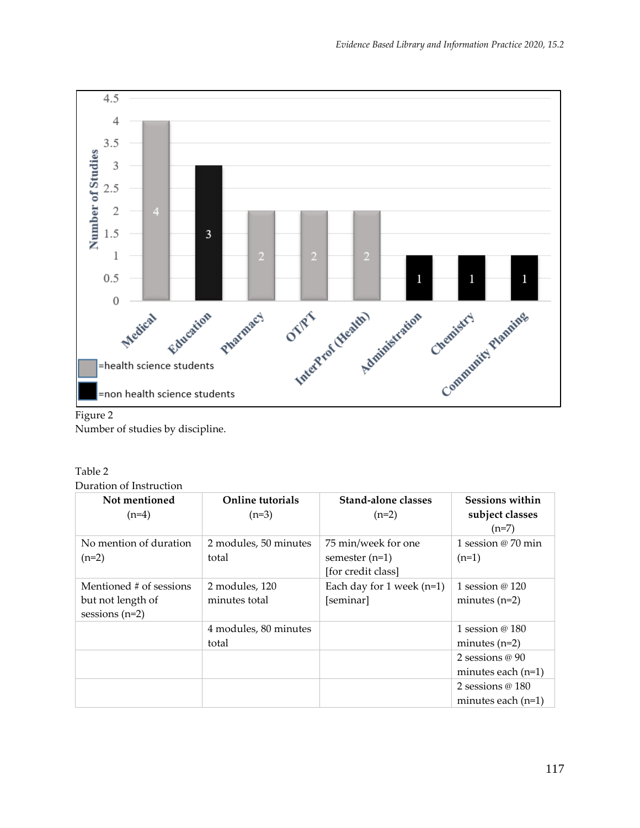

## Figure 2

Number of studies by discipline.

#### Table 2 Duration of Instruction

| Not mentioned<br>$(n=4)$ | Online tutorials<br>$(n=3)$ | Stand-alone classes<br>$(n=2)$         | <b>Sessions within</b><br>subject classes<br>$(n=7)$ |
|--------------------------|-----------------------------|----------------------------------------|------------------------------------------------------|
| No mention of duration   | 2 modules, 50 minutes       | 75 min/week for one                    | 1 session $\omega$ 70 min                            |
| $(n=2)$                  | total                       | semester $(n=1)$<br>[for credit class] | $(n=1)$                                              |
| Mentioned # of sessions  | 2 modules, 120              | Each day for 1 week $(n=1)$            | 1 session @ 120                                      |
| but not length of        | minutes total               | [seminar]                              | minutes $(n=2)$                                      |
| sessions $(n=2)$         |                             |                                        |                                                      |
|                          | 4 modules, 80 minutes       |                                        | 1 session $@180$                                     |
|                          | total                       |                                        | minutes $(n=2)$                                      |
|                          |                             |                                        | 2 sessions $@90$                                     |
|                          |                             |                                        | minutes each $(n=1)$                                 |
|                          |                             |                                        | 2 sessions $@180$                                    |
|                          |                             |                                        | minutes each $(n=1)$                                 |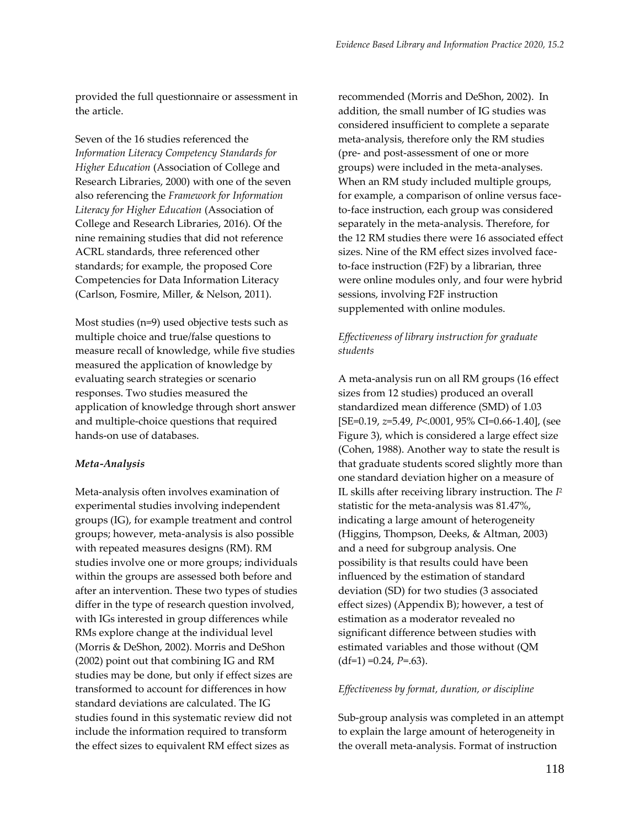provided the full questionnaire or assessment in the article.

Seven of the 16 studies referenced the *Information Literacy Competency Standards for Higher Education* (Association of College and Research Libraries, 2000) with one of the seven also referencing the *Framework for Information Literacy for Higher Education* (Association of College and Research Libraries, 2016). Of the nine remaining studies that did not reference ACRL standards, three referenced other standards; for example, the proposed Core Competencies for Data Information Literacy (Carlson, Fosmire, Miller, & Nelson, 2011).

Most studies (n=9) used objective tests such as multiple choice and true/false questions to measure recall of knowledge, while five studies measured the application of knowledge by evaluating search strategies or scenario responses. Two studies measured the application of knowledge through short answer and multiple-choice questions that required hands-on use of databases.

#### *Meta-Analysis*

Meta-analysis often involves examination of experimental studies involving independent groups (IG), for example treatment and control groups; however, meta-analysis is also possible with repeated measures designs (RM). RM studies involve one or more groups; individuals within the groups are assessed both before and after an intervention. These two types of studies differ in the type of research question involved, with IGs interested in group differences while RMs explore change at the individual level (Morris & DeShon, 2002). Morris and DeShon (2002) point out that combining IG and RM studies may be done, but only if effect sizes are transformed to account for differences in how standard deviations are calculated. The IG studies found in this systematic review did not include the information required to transform the effect sizes to equivalent RM effect sizes as

recommended (Morris and DeShon, 2002). In addition, the small number of IG studies was considered insufficient to complete a separate meta-analysis, therefore only the RM studies (pre- and post-assessment of one or more groups) were included in the meta-analyses. When an RM study included multiple groups, for example, a comparison of online versus faceto-face instruction, each group was considered separately in the meta-analysis. Therefore, for the 12 RM studies there were 16 associated effect sizes. Nine of the RM effect sizes involved faceto-face instruction (F2F) by a librarian, three were online modules only, and four were hybrid sessions, involving F2F instruction supplemented with online modules.

## *Effectiveness of library instruction for graduate students*

A meta-analysis run on all RM groups (16 effect sizes from 12 studies) produced an overall standardized mean difference (SMD) of 1.03 [SE=0.19, *z*=5.49, *P*<.0001, 95% CI=0.66-1.40], (see Figure 3), which is considered a large effect size (Cohen, 1988). Another way to state the result is that graduate students scored slightly more than one standard deviation higher on a measure of IL skills after receiving library instruction. The *I* 2 statistic for the meta-analysis was 81.47%, indicating a large amount of heterogeneity (Higgins, Thompson, Deeks, & Altman, 2003) and a need for subgroup analysis. One possibility is that results could have been influenced by the estimation of standard deviation (SD) for two studies (3 associated effect sizes) (Appendix B); however, a test of estimation as a moderator revealed no significant difference between studies with estimated variables and those without (QM  $(df=1) = 0.24$ ,  $P=.63$ ).

#### *Effectiveness by format, duration, or discipline*

Sub-group analysis was completed in an attempt to explain the large amount of heterogeneity in the overall meta-analysis. Format of instruction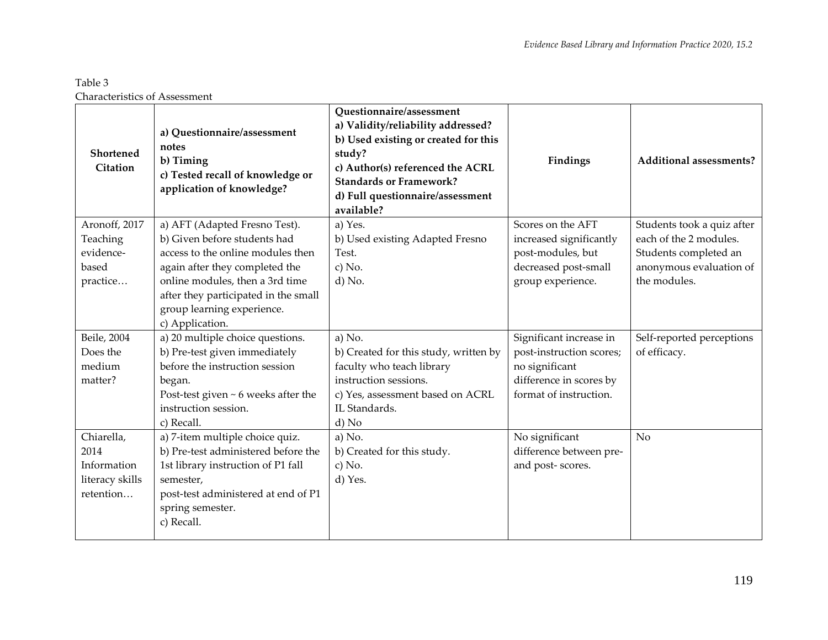# Table 3 Characteristics of Assessment

| Shortened<br><b>Citation</b> | a) Questionnaire/assessment<br>notes<br>b) Timing<br>c) Tested recall of knowledge or<br>application of knowledge? | <b>Ouestionnaire/assessment</b><br>a) Validity/reliability addressed?<br>b) Used existing or created for this<br>study?<br>c) Author(s) referenced the ACRL<br><b>Standards or Framework?</b><br>d) Full questionnaire/assessment<br>available? | Findings                 | <b>Additional assessments?</b> |
|------------------------------|--------------------------------------------------------------------------------------------------------------------|-------------------------------------------------------------------------------------------------------------------------------------------------------------------------------------------------------------------------------------------------|--------------------------|--------------------------------|
| Aronoff, 2017                | a) AFT (Adapted Fresno Test).                                                                                      | a) Yes.                                                                                                                                                                                                                                         | Scores on the AFT        | Students took a quiz after     |
| Teaching                     | b) Given before students had                                                                                       | b) Used existing Adapted Fresno                                                                                                                                                                                                                 | increased significantly  | each of the 2 modules.         |
| evidence-                    | access to the online modules then                                                                                  | Test.                                                                                                                                                                                                                                           | post-modules, but        | Students completed an          |
| based                        | again after they completed the                                                                                     | $c)$ No.                                                                                                                                                                                                                                        | decreased post-small     | anonymous evaluation of        |
| practice                     | online modules, then a 3rd time                                                                                    | d) No.                                                                                                                                                                                                                                          | group experience.        | the modules.                   |
|                              | after they participated in the small                                                                               |                                                                                                                                                                                                                                                 |                          |                                |
|                              | group learning experience.                                                                                         |                                                                                                                                                                                                                                                 |                          |                                |
|                              | c) Application.                                                                                                    |                                                                                                                                                                                                                                                 |                          |                                |
| Beile, 2004                  | a) 20 multiple choice questions.                                                                                   | a) No.                                                                                                                                                                                                                                          | Significant increase in  | Self-reported perceptions      |
| Does the                     | b) Pre-test given immediately                                                                                      | b) Created for this study, written by                                                                                                                                                                                                           | post-instruction scores; | of efficacy.                   |
| medium                       | before the instruction session                                                                                     | faculty who teach library                                                                                                                                                                                                                       | no significant           |                                |
| matter?                      | began.                                                                                                             | instruction sessions.                                                                                                                                                                                                                           | difference in scores by  |                                |
|                              | Post-test given $\sim$ 6 weeks after the                                                                           | c) Yes, assessment based on ACRL                                                                                                                                                                                                                | format of instruction.   |                                |
|                              | instruction session.                                                                                               | IL Standards.                                                                                                                                                                                                                                   |                          |                                |
|                              | c) Recall.                                                                                                         | d) No                                                                                                                                                                                                                                           |                          |                                |
| Chiarella,                   | a) 7-item multiple choice quiz.                                                                                    | a) No.                                                                                                                                                                                                                                          | No significant           | N <sub>o</sub>                 |
| 2014                         | b) Pre-test administered before the                                                                                | b) Created for this study.                                                                                                                                                                                                                      | difference between pre-  |                                |
| Information                  | 1st library instruction of P1 fall                                                                                 | $c)$ No.                                                                                                                                                                                                                                        | and post-scores.         |                                |
| literacy skills              | semester,                                                                                                          | d) Yes.                                                                                                                                                                                                                                         |                          |                                |
| retention                    | post-test administered at end of P1                                                                                |                                                                                                                                                                                                                                                 |                          |                                |
|                              | spring semester.                                                                                                   |                                                                                                                                                                                                                                                 |                          |                                |
|                              | c) Recall.                                                                                                         |                                                                                                                                                                                                                                                 |                          |                                |
|                              |                                                                                                                    |                                                                                                                                                                                                                                                 |                          |                                |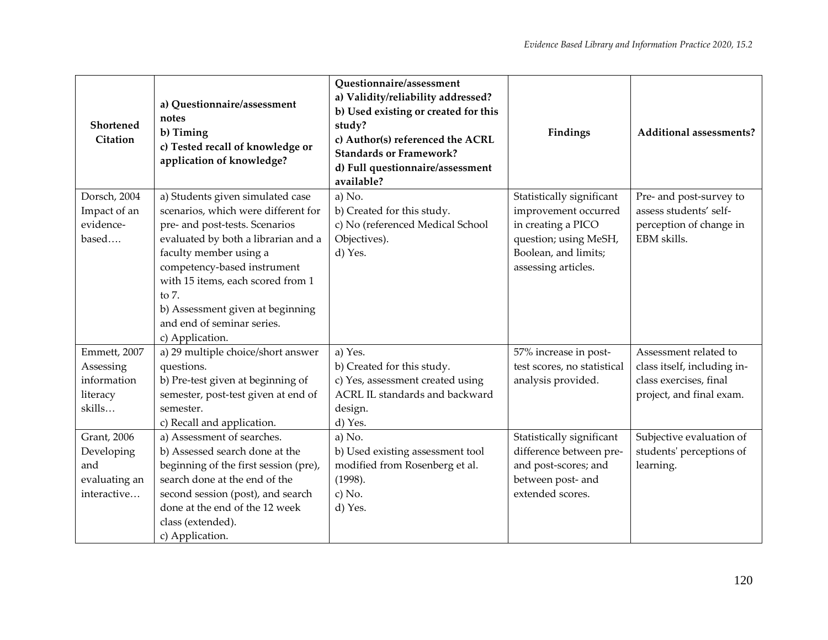| Shortened<br>Citation | a) Questionnaire/assessment<br>notes<br>b) Timing<br>c) Tested recall of knowledge or<br>application of knowledge? | Questionnaire/assessment<br>a) Validity/reliability addressed?<br>b) Used existing or created for this<br>study?<br>c) Author(s) referenced the ACRL<br><b>Standards or Framework?</b><br>d) Full questionnaire/assessment<br>available? | Findings                    | Additional assessments?     |
|-----------------------|--------------------------------------------------------------------------------------------------------------------|------------------------------------------------------------------------------------------------------------------------------------------------------------------------------------------------------------------------------------------|-----------------------------|-----------------------------|
| Dorsch, 2004          | a) Students given simulated case                                                                                   | a) No.                                                                                                                                                                                                                                   | Statistically significant   | Pre- and post-survey to     |
| Impact of an          | scenarios, which were different for                                                                                | b) Created for this study.                                                                                                                                                                                                               | improvement occurred        | assess students' self-      |
| evidence-             | pre- and post-tests. Scenarios                                                                                     | c) No (referenced Medical School                                                                                                                                                                                                         | in creating a PICO          | perception of change in     |
| based                 | evaluated by both a librarian and a                                                                                | Objectives).                                                                                                                                                                                                                             | question; using MeSH,       | EBM skills.                 |
|                       | faculty member using a                                                                                             | d) Yes.                                                                                                                                                                                                                                  | Boolean, and limits;        |                             |
|                       | competency-based instrument<br>with 15 items, each scored from 1                                                   |                                                                                                                                                                                                                                          | assessing articles.         |                             |
|                       | to 7.                                                                                                              |                                                                                                                                                                                                                                          |                             |                             |
|                       | b) Assessment given at beginning                                                                                   |                                                                                                                                                                                                                                          |                             |                             |
|                       | and end of seminar series.                                                                                         |                                                                                                                                                                                                                                          |                             |                             |
|                       | c) Application.                                                                                                    |                                                                                                                                                                                                                                          |                             |                             |
| Emmett, 2007          | a) 29 multiple choice/short answer                                                                                 | a) Yes.                                                                                                                                                                                                                                  | 57% increase in post-       | Assessment related to       |
| Assessing             | questions.                                                                                                         | b) Created for this study.                                                                                                                                                                                                               | test scores, no statistical | class itself, including in- |
| information           | b) Pre-test given at beginning of                                                                                  | c) Yes, assessment created using                                                                                                                                                                                                         | analysis provided.          | class exercises, final      |
| literacy              | semester, post-test given at end of                                                                                | ACRL IL standards and backward                                                                                                                                                                                                           |                             | project, and final exam.    |
| skills                | semester.                                                                                                          | design.                                                                                                                                                                                                                                  |                             |                             |
|                       | c) Recall and application.                                                                                         | d) Yes.                                                                                                                                                                                                                                  |                             |                             |
| <b>Grant</b> , 2006   | a) Assessment of searches.                                                                                         | a) No.                                                                                                                                                                                                                                   | Statistically significant   | Subjective evaluation of    |
| Developing            | b) Assessed search done at the                                                                                     | b) Used existing assessment tool                                                                                                                                                                                                         | difference between pre-     | students' perceptions of    |
| and                   | beginning of the first session (pre),                                                                              | modified from Rosenberg et al.                                                                                                                                                                                                           | and post-scores; and        | learning.                   |
| evaluating an         | search done at the end of the                                                                                      | (1998).                                                                                                                                                                                                                                  | between post- and           |                             |
| interactive           | second session (post), and search                                                                                  | c) No.                                                                                                                                                                                                                                   | extended scores.            |                             |
|                       | done at the end of the 12 week                                                                                     | d) Yes.                                                                                                                                                                                                                                  |                             |                             |
|                       | class (extended).                                                                                                  |                                                                                                                                                                                                                                          |                             |                             |
|                       | c) Application.                                                                                                    |                                                                                                                                                                                                                                          |                             |                             |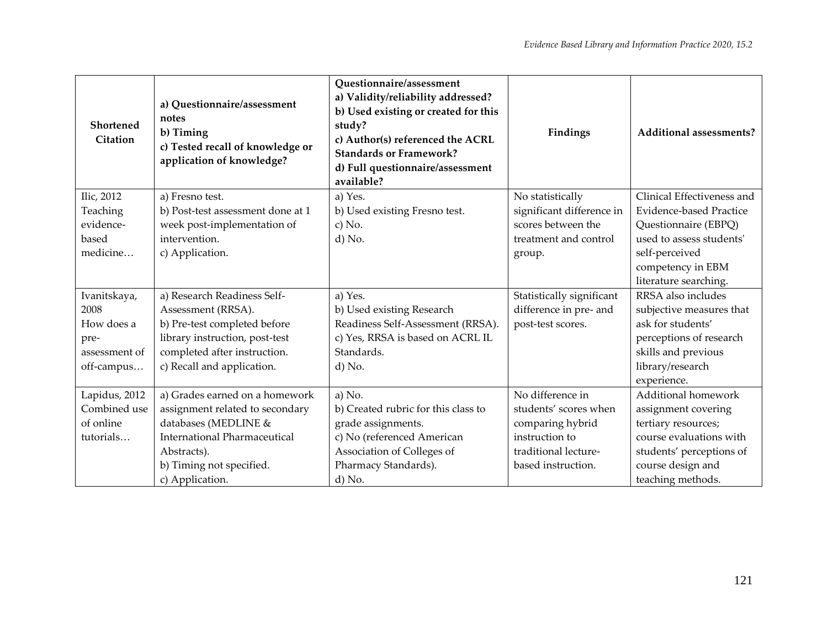| Shortened<br>Citation | a) Questionnaire/assessment<br>notes<br>b) Timing<br>c) Tested recall of knowledge or<br>application of knowledge? | Questionnaire/assessment<br>a) Validity/reliability addressed?<br>b) Used existing or created for this<br>study?<br>c) Author(s) referenced the ACRL<br><b>Standards or Framework?</b><br>d) Full questionnaire/assessment<br>available? | Findings                  | <b>Additional assessments?</b> |  |
|-----------------------|--------------------------------------------------------------------------------------------------------------------|------------------------------------------------------------------------------------------------------------------------------------------------------------------------------------------------------------------------------------------|---------------------------|--------------------------------|--|
| Ilic, 2012            | a) Fresno test.                                                                                                    | a) Yes.                                                                                                                                                                                                                                  | No statistically          | Clinical Effectiveness and     |  |
| Teaching              | b) Post-test assessment done at 1                                                                                  | b) Used existing Fresno test.                                                                                                                                                                                                            | significant difference in | <b>Evidence-based Practice</b> |  |
| evidence-             | week post-implementation of                                                                                        | c) No.                                                                                                                                                                                                                                   | scores between the        | Questionnaire (EBPQ)           |  |
| based                 | intervention.                                                                                                      | d) No.                                                                                                                                                                                                                                   | treatment and control     | used to assess students'       |  |
| medicine              | c) Application.                                                                                                    |                                                                                                                                                                                                                                          | group.                    | self-perceived                 |  |
|                       |                                                                                                                    |                                                                                                                                                                                                                                          |                           | competency in EBM              |  |
|                       |                                                                                                                    |                                                                                                                                                                                                                                          |                           | literature searching.          |  |
| Ivanitskaya,          | a) Research Readiness Self-                                                                                        | a) Yes.                                                                                                                                                                                                                                  | Statistically significant | RRSA also includes             |  |
| 2008                  | Assessment (RRSA).                                                                                                 | b) Used existing Research                                                                                                                                                                                                                | difference in pre- and    | subjective measures that       |  |
| How does a            | b) Pre-test completed before                                                                                       | Readiness Self-Assessment (RRSA).                                                                                                                                                                                                        | post-test scores.         | ask for students'              |  |
| pre-                  | library instruction, post-test                                                                                     | c) Yes, RRSA is based on ACRL IL                                                                                                                                                                                                         |                           | perceptions of research        |  |
| assessment of         | completed after instruction.                                                                                       | Standards.                                                                                                                                                                                                                               |                           | skills and previous            |  |
| off-campus            | c) Recall and application.                                                                                         | d) No.                                                                                                                                                                                                                                   |                           | library/research               |  |
|                       |                                                                                                                    |                                                                                                                                                                                                                                          |                           | experience.                    |  |
| Lapidus, 2012         | a) Grades earned on a homework                                                                                     | a) No.                                                                                                                                                                                                                                   | No difference in          | Additional homework            |  |
| Combined use          | assignment related to secondary                                                                                    | b) Created rubric for this class to                                                                                                                                                                                                      | students' scores when     | assignment covering            |  |
| of online             | databases (MEDLINE &                                                                                               | grade assignments.                                                                                                                                                                                                                       | comparing hybrid          | tertiary resources;            |  |
| tutorials             | <b>International Pharmaceutical</b>                                                                                | c) No (referenced American                                                                                                                                                                                                               | instruction to            | course evaluations with        |  |
|                       | Abstracts).                                                                                                        | Association of Colleges of                                                                                                                                                                                                               | traditional lecture-      | students' perceptions of       |  |
|                       | b) Timing not specified.                                                                                           | Pharmacy Standards).                                                                                                                                                                                                                     | based instruction.        | course design and              |  |
|                       | c) Application.                                                                                                    | d) No.                                                                                                                                                                                                                                   |                           | teaching methods.              |  |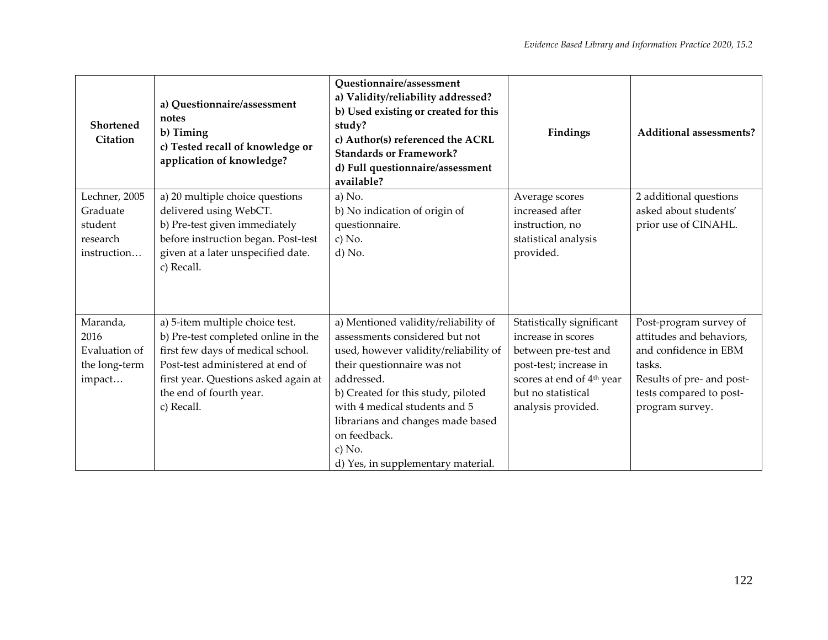| <b>Shortened</b><br>Citation | a) Questionnaire/assessment<br>notes<br>b) Timing<br>c) Tested recall of knowledge or<br>application of knowledge? | Questionnaire/assessment<br>a) Validity/reliability addressed?<br>b) Used existing or created for this<br>study?<br>c) Author(s) referenced the ACRL<br><b>Standards or Framework?</b><br>d) Full questionnaire/assessment<br>available? | Findings                                        | <b>Additional assessments?</b>                     |
|------------------------------|--------------------------------------------------------------------------------------------------------------------|------------------------------------------------------------------------------------------------------------------------------------------------------------------------------------------------------------------------------------------|-------------------------------------------------|----------------------------------------------------|
| Lechner, 2005<br>Graduate    | a) 20 multiple choice questions<br>delivered using WebCT.                                                          | a) No.<br>b) No indication of origin of                                                                                                                                                                                                  | Average scores<br>increased after               | 2 additional questions<br>asked about students'    |
| student                      | b) Pre-test given immediately                                                                                      | questionnaire.                                                                                                                                                                                                                           | instruction, no                                 | prior use of CINAHL.                               |
| research                     | before instruction began. Post-test                                                                                | c) No.                                                                                                                                                                                                                                   | statistical analysis                            |                                                    |
| instruction                  | given at a later unspecified date.<br>c) Recall.                                                                   | d) No.                                                                                                                                                                                                                                   | provided.                                       |                                                    |
|                              |                                                                                                                    |                                                                                                                                                                                                                                          |                                                 |                                                    |
| Maranda,<br>2016             | a) 5-item multiple choice test.<br>b) Pre-test completed online in the                                             | a) Mentioned validity/reliability of<br>assessments considered but not                                                                                                                                                                   | Statistically significant<br>increase in scores | Post-program survey of<br>attitudes and behaviors, |
| Evaluation of                | first few days of medical school.                                                                                  | used, however validity/reliability of                                                                                                                                                                                                    | between pre-test and                            | and confidence in EBM                              |
| the long-term                | Post-test administered at end of                                                                                   | their questionnaire was not                                                                                                                                                                                                              | post-test; increase in                          | tasks.                                             |
| impact                       | first year. Questions asked again at                                                                               | addressed.                                                                                                                                                                                                                               | scores at end of 4 <sup>th</sup> year           | Results of pre- and post-                          |
|                              | the end of fourth year.                                                                                            | b) Created for this study, piloted                                                                                                                                                                                                       | but no statistical                              | tests compared to post-                            |
|                              | c) Recall.                                                                                                         | with 4 medical students and 5                                                                                                                                                                                                            | analysis provided.                              | program survey.                                    |
|                              |                                                                                                                    | librarians and changes made based                                                                                                                                                                                                        |                                                 |                                                    |
|                              |                                                                                                                    | on feedback.                                                                                                                                                                                                                             |                                                 |                                                    |
|                              |                                                                                                                    | c) No.                                                                                                                                                                                                                                   |                                                 |                                                    |
|                              |                                                                                                                    | d) Yes, in supplementary material.                                                                                                                                                                                                       |                                                 |                                                    |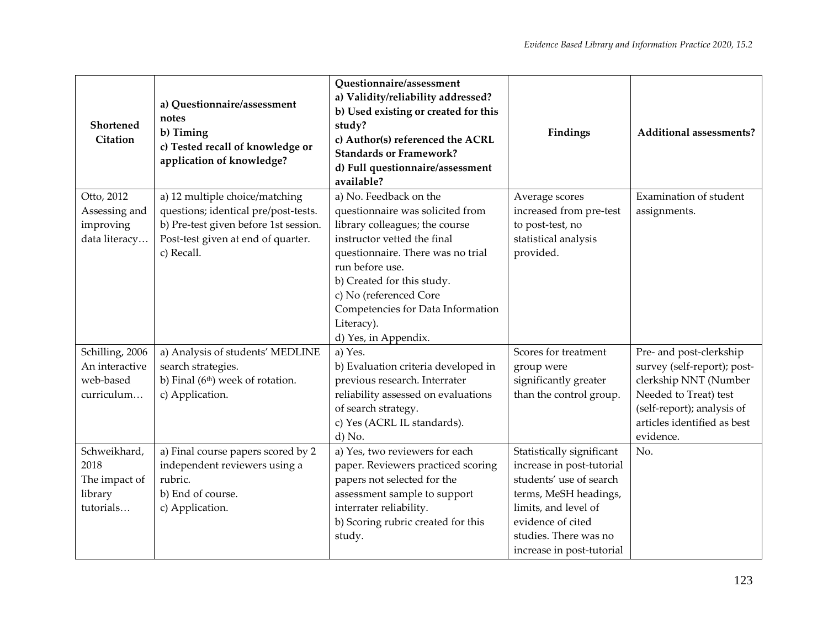| Shortened<br>Citation                                         | a) Questionnaire/assessment<br>notes<br>b) Timing<br>c) Tested recall of knowledge or<br>application of knowledge?                                                  | Questionnaire/assessment<br>a) Validity/reliability addressed?<br>b) Used existing or created for this<br>study?<br>c) Author(s) referenced the ACRL<br><b>Standards or Framework?</b><br>d) Full questionnaire/assessment<br>available?                                                                               | Findings                                                                                                                                                                                                      | Additional assessments?                                                                                                                                                            |
|---------------------------------------------------------------|---------------------------------------------------------------------------------------------------------------------------------------------------------------------|------------------------------------------------------------------------------------------------------------------------------------------------------------------------------------------------------------------------------------------------------------------------------------------------------------------------|---------------------------------------------------------------------------------------------------------------------------------------------------------------------------------------------------------------|------------------------------------------------------------------------------------------------------------------------------------------------------------------------------------|
| Otto, 2012<br>Assessing and<br>improving<br>data literacy     | a) 12 multiple choice/matching<br>questions; identical pre/post-tests.<br>b) Pre-test given before 1st session.<br>Post-test given at end of quarter.<br>c) Recall. | a) No. Feedback on the<br>questionnaire was solicited from<br>library colleagues; the course<br>instructor vetted the final<br>questionnaire. There was no trial<br>run before use.<br>b) Created for this study.<br>c) No (referenced Core<br>Competencies for Data Information<br>Literacy).<br>d) Yes, in Appendix. | Average scores<br>increased from pre-test<br>to post-test, no<br>statistical analysis<br>provided.                                                                                                            | Examination of student<br>assignments.                                                                                                                                             |
| Schilling, 2006<br>An interactive<br>web-based<br>curriculum  | a) Analysis of students' MEDLINE<br>search strategies.<br>b) Final (6 <sup>th</sup> ) week of rotation.<br>c) Application.                                          | a) Yes.<br>b) Evaluation criteria developed in<br>previous research. Interrater<br>reliability assessed on evaluations<br>of search strategy.<br>c) Yes (ACRL IL standards).<br>d) No.                                                                                                                                 | Scores for treatment<br>group were<br>significantly greater<br>than the control group.                                                                                                                        | Pre- and post-clerkship<br>survey (self-report); post-<br>clerkship NNT (Number<br>Needed to Treat) test<br>(self-report); analysis of<br>articles identified as best<br>evidence. |
| Schweikhard,<br>2018<br>The impact of<br>library<br>tutorials | a) Final course papers scored by 2<br>independent reviewers using a<br>rubric.<br>b) End of course.<br>c) Application.                                              | a) Yes, two reviewers for each<br>paper. Reviewers practiced scoring<br>papers not selected for the<br>assessment sample to support<br>interrater reliability.<br>b) Scoring rubric created for this<br>study.                                                                                                         | Statistically significant<br>increase in post-tutorial<br>students' use of search<br>terms, MeSH headings,<br>limits, and level of<br>evidence of cited<br>studies. There was no<br>increase in post-tutorial | No.                                                                                                                                                                                |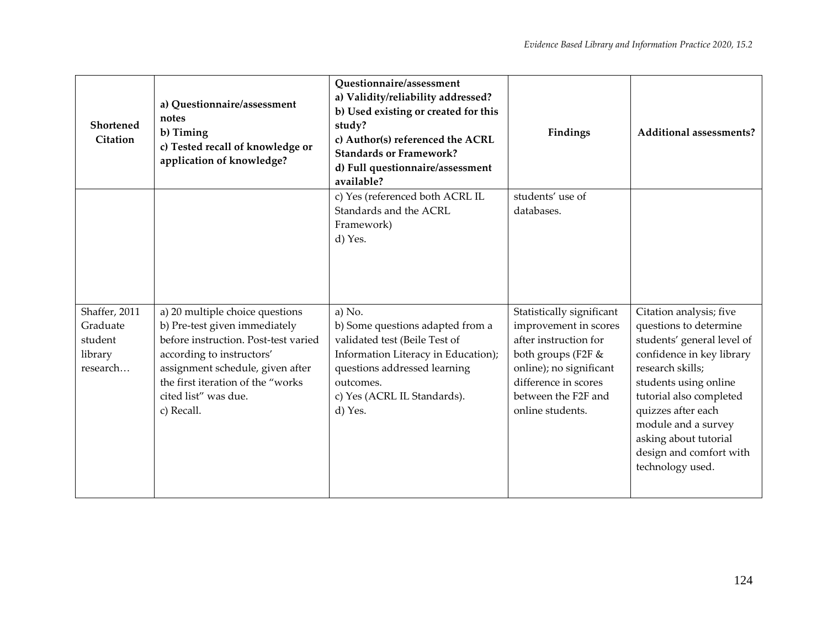| Shortened<br>Citation                                       | a) Questionnaire/assessment<br>notes<br>b) Timing<br>c) Tested recall of knowledge or<br>application of knowledge?                                                                                                                                   | <b>Questionnaire/assessment</b><br>a) Validity/reliability addressed?<br>b) Used existing or created for this<br>study?<br>c) Author(s) referenced the ACRL<br><b>Standards or Framework?</b><br>d) Full questionnaire/assessment<br>available? | Findings                                                                                                                                                                                        | <b>Additional assessments?</b>                                                                                                                                                                                                                                                                            |
|-------------------------------------------------------------|------------------------------------------------------------------------------------------------------------------------------------------------------------------------------------------------------------------------------------------------------|-------------------------------------------------------------------------------------------------------------------------------------------------------------------------------------------------------------------------------------------------|-------------------------------------------------------------------------------------------------------------------------------------------------------------------------------------------------|-----------------------------------------------------------------------------------------------------------------------------------------------------------------------------------------------------------------------------------------------------------------------------------------------------------|
|                                                             |                                                                                                                                                                                                                                                      | c) Yes (referenced both ACRL IL<br>Standards and the ACRL<br>Framework)<br>d) Yes.                                                                                                                                                              | students' use of<br>databases.                                                                                                                                                                  |                                                                                                                                                                                                                                                                                                           |
| Shaffer, 2011<br>Graduate<br>student<br>library<br>research | a) 20 multiple choice questions<br>b) Pre-test given immediately<br>before instruction. Post-test varied<br>according to instructors'<br>assignment schedule, given after<br>the first iteration of the "works<br>cited list" was due.<br>c) Recall. | a) No.<br>b) Some questions adapted from a<br>validated test (Beile Test of<br>Information Literacy in Education);<br>questions addressed learning<br>outcomes.<br>c) Yes (ACRL IL Standards).<br>d) Yes.                                       | Statistically significant<br>improvement in scores<br>after instruction for<br>both groups (F2F &<br>online); no significant<br>difference in scores<br>between the F2F and<br>online students. | Citation analysis; five<br>questions to determine<br>students' general level of<br>confidence in key library<br>research skills;<br>students using online<br>tutorial also completed<br>quizzes after each<br>module and a survey<br>asking about tutorial<br>design and comfort with<br>technology used. |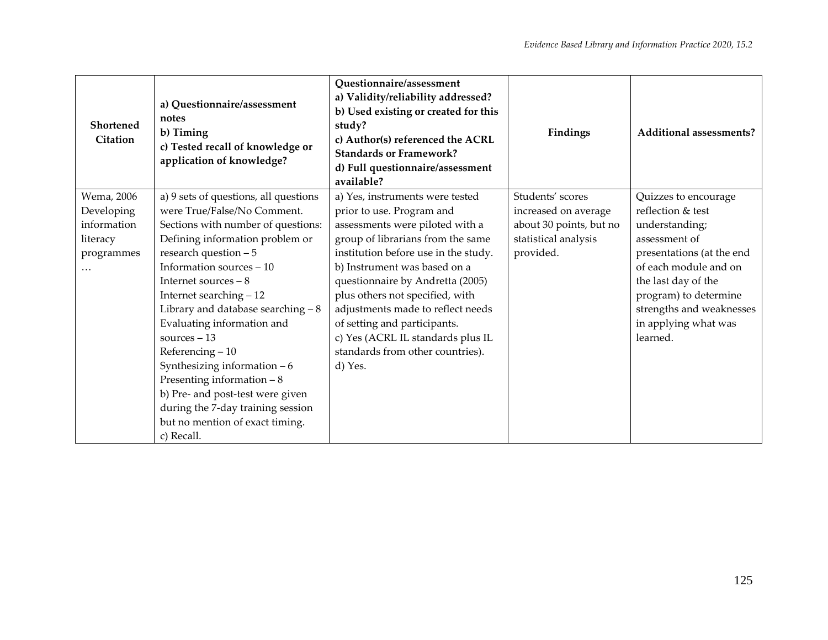| <b>Shortened</b><br>Citation                                           | a) Questionnaire/assessment<br>notes<br>b) Timing<br>c) Tested recall of knowledge or<br>application of knowledge?                                                                                                                                                                                                                                                                                                                                                                                                                                           | Questionnaire/assessment<br>a) Validity/reliability addressed?<br>b) Used existing or created for this<br>study?<br>c) Author(s) referenced the ACRL<br><b>Standards or Framework?</b><br>d) Full questionnaire/assessment<br>available?                                                                                                                                                                                                     | Findings                                                                                                 | <b>Additional assessments?</b>                                                                                                                                                                                                                     |
|------------------------------------------------------------------------|--------------------------------------------------------------------------------------------------------------------------------------------------------------------------------------------------------------------------------------------------------------------------------------------------------------------------------------------------------------------------------------------------------------------------------------------------------------------------------------------------------------------------------------------------------------|----------------------------------------------------------------------------------------------------------------------------------------------------------------------------------------------------------------------------------------------------------------------------------------------------------------------------------------------------------------------------------------------------------------------------------------------|----------------------------------------------------------------------------------------------------------|----------------------------------------------------------------------------------------------------------------------------------------------------------------------------------------------------------------------------------------------------|
| Wema, 2006<br>Developing<br>information<br>literacy<br>programmes<br>. | a) 9 sets of questions, all questions<br>were True/False/No Comment.<br>Sections with number of questions:<br>Defining information problem or<br>research question $-5$<br>Information sources - 10<br>Internet sources $-8$<br>Internet searching - 12<br>Library and database searching $-8$<br>Evaluating information and<br>sources $-13$<br>Referencing $-10$<br>Synthesizing information $-6$<br>Presenting information $-8$<br>b) Pre- and post-test were given<br>during the 7-day training session<br>but no mention of exact timing.<br>c) Recall. | a) Yes, instruments were tested<br>prior to use. Program and<br>assessments were piloted with a<br>group of librarians from the same<br>institution before use in the study.<br>b) Instrument was based on a<br>questionnaire by Andretta (2005)<br>plus others not specified, with<br>adjustments made to reflect needs<br>of setting and participants.<br>c) Yes (ACRL IL standards plus IL<br>standards from other countries).<br>d) Yes. | Students' scores<br>increased on average<br>about 30 points, but no<br>statistical analysis<br>provided. | Quizzes to encourage<br>reflection & test<br>understanding;<br>assessment of<br>presentations (at the end<br>of each module and on<br>the last day of the<br>program) to determine<br>strengths and weaknesses<br>in applying what was<br>learned. |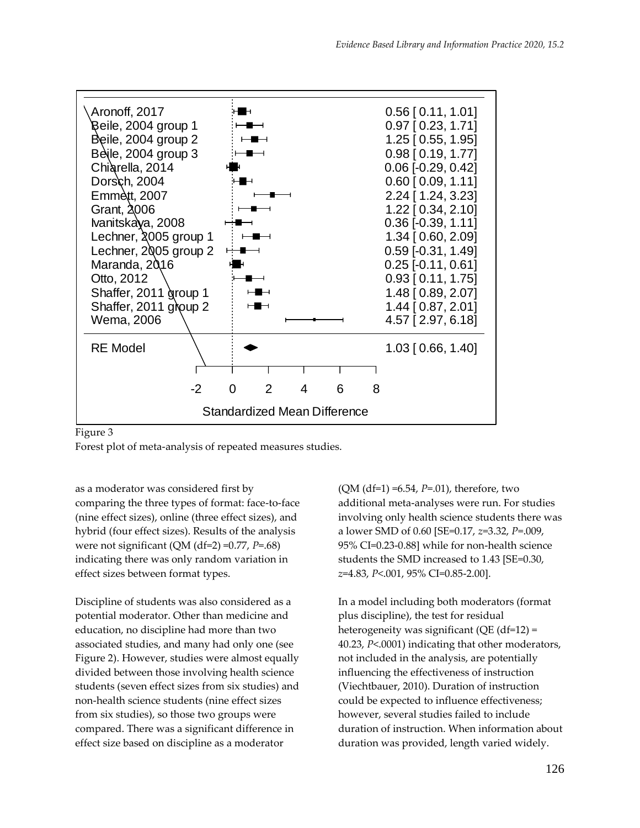

#### Figure 3

Forest plot of meta-analysis of repeated measures studies.

as a moderator was considered first by comparing the three types of format: face-to-face (nine effect sizes), online (three effect sizes), and hybrid (four effect sizes). Results of the analysis were not significant (QM (df=2) =0.77, *P*=.68) indicating there was only random variation in effect sizes between format types.

Discipline of students was also considered as a potential moderator. Other than medicine and education, no discipline had more than two associated studies, and many had only one (see Figure 2). However, studies were almost equally divided between those involving health science students (seven effect sizes from six studies) and non-health science students (nine effect sizes from six studies), so those two groups were compared. There was a significant difference in effect size based on discipline as a moderator

(QM (df=1) =6.54, *P*=.01), therefore, two additional meta-analyses were run. For studies involving only health science students there was a lower SMD of 0.60 [SE=0.17, *z*=3.32, *P*=.009, 95% CI=0.23-0.88] while for non-health science students the SMD increased to 1.43 [SE=0.30, *z*=4.83, *P*<.001, 95% CI=0.85-2.00].

In a model including both moderators (format plus discipline), the test for residual heterogeneity was significant (QE (df=12) = 40.23, *P*<.0001) indicating that other moderators, not included in the analysis, are potentially influencing the effectiveness of instruction (Viechtbauer, 2010). Duration of instruction could be expected to influence effectiveness; however, several studies failed to include duration of instruction. When information about duration was provided, length varied widely.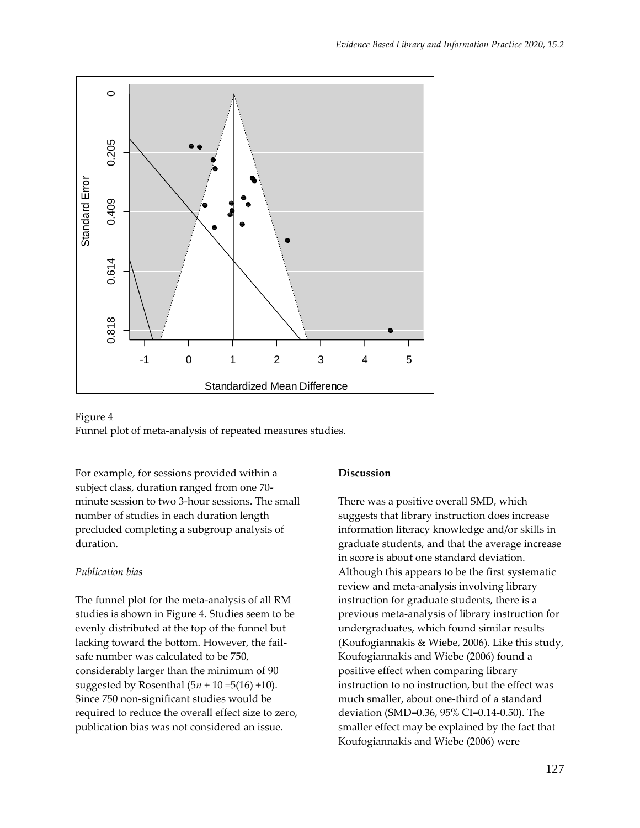



For example, for sessions provided within a subject class, duration ranged from one 70 minute session to two 3-hour sessions. The small number of studies in each duration length precluded completing a subgroup analysis of duration.

#### *Publication bias*

The funnel plot for the meta-analysis of all RM studies is shown in Figure 4. Studies seem to be evenly distributed at the top of the funnel but lacking toward the bottom. However, the failsafe number was calculated to be 750, considerably larger than the minimum of 90 suggested by Rosenthal (5*n* + 10 =5(16) +10). Since 750 non-significant studies would be required to reduce the overall effect size to zero, publication bias was not considered an issue.

#### **Discussion**

There was a positive overall SMD, which suggests that library instruction does increase information literacy knowledge and/or skills in graduate students, and that the average increase in score is about one standard deviation. Although this appears to be the first systematic review and meta-analysis involving library instruction for graduate students, there is a previous meta-analysis of library instruction for undergraduates, which found similar results (Koufogiannakis & Wiebe, 2006). Like this study, Koufogiannakis and Wiebe (2006) found a positive effect when comparing library instruction to no instruction, but the effect was much smaller, about one-third of a standard deviation (SMD=0.36, 95% CI=0.14-0.50). The smaller effect may be explained by the fact that Koufogiannakis and Wiebe (2006) were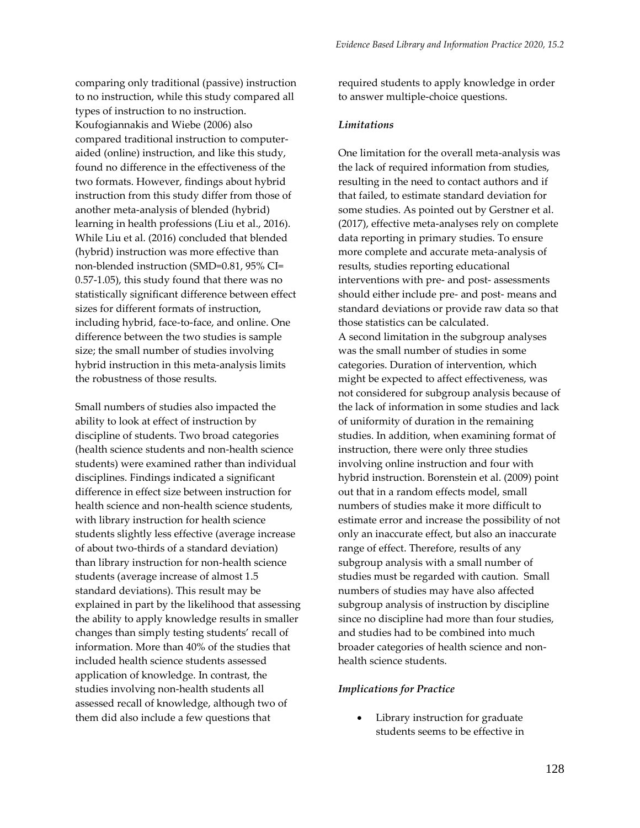comparing only traditional (passive) instruction to no instruction, while this study compared all types of instruction to no instruction. Koufogiannakis and Wiebe (2006) also compared traditional instruction to computeraided (online) instruction, and like this study, found no difference in the effectiveness of the two formats. However, findings about hybrid instruction from this study differ from those of another meta-analysis of blended (hybrid) learning in health professions (Liu et al., 2016). While Liu et al. (2016) concluded that blended (hybrid) instruction was more effective than non-blended instruction (SMD=0.81, 95% CI= 0.57-1.05), this study found that there was no statistically significant difference between effect sizes for different formats of instruction, including hybrid, face-to-face, and online. One difference between the two studies is sample size; the small number of studies involving hybrid instruction in this meta-analysis limits the robustness of those results.

Small numbers of studies also impacted the ability to look at effect of instruction by discipline of students. Two broad categories (health science students and non-health science students) were examined rather than individual disciplines. Findings indicated a significant difference in effect size between instruction for health science and non-health science students, with library instruction for health science students slightly less effective (average increase of about two-thirds of a standard deviation) than library instruction for non-health science students (average increase of almost 1.5 standard deviations). This result may be explained in part by the likelihood that assessing the ability to apply knowledge results in smaller changes than simply testing students' recall of information. More than 40% of the studies that included health science students assessed application of knowledge. In contrast, the studies involving non-health students all assessed recall of knowledge, although two of them did also include a few questions that

required students to apply knowledge in order to answer multiple-choice questions.

#### *Limitations*

One limitation for the overall meta-analysis was the lack of required information from studies, resulting in the need to contact authors and if that failed, to estimate standard deviation for some studies. As pointed out by Gerstner et al. (2017), effective meta-analyses rely on complete data reporting in primary studies. To ensure more complete and accurate meta-analysis of results, studies reporting educational interventions with pre- and post- assessments should either include pre- and post- means and standard deviations or provide raw data so that those statistics can be calculated. A second limitation in the subgroup analyses was the small number of studies in some categories. Duration of intervention, which might be expected to affect effectiveness, was not considered for subgroup analysis because of the lack of information in some studies and lack of uniformity of duration in the remaining studies. In addition, when examining format of instruction, there were only three studies involving online instruction and four with hybrid instruction. Borenstein et al. (2009) point out that in a random effects model, small numbers of studies make it more difficult to estimate error and increase the possibility of not only an inaccurate effect, but also an inaccurate range of effect. Therefore, results of any subgroup analysis with a small number of studies must be regarded with caution. Small numbers of studies may have also affected subgroup analysis of instruction by discipline since no discipline had more than four studies, and studies had to be combined into much broader categories of health science and nonhealth science students.

#### *Implications for Practice*

Library instruction for graduate students seems to be effective in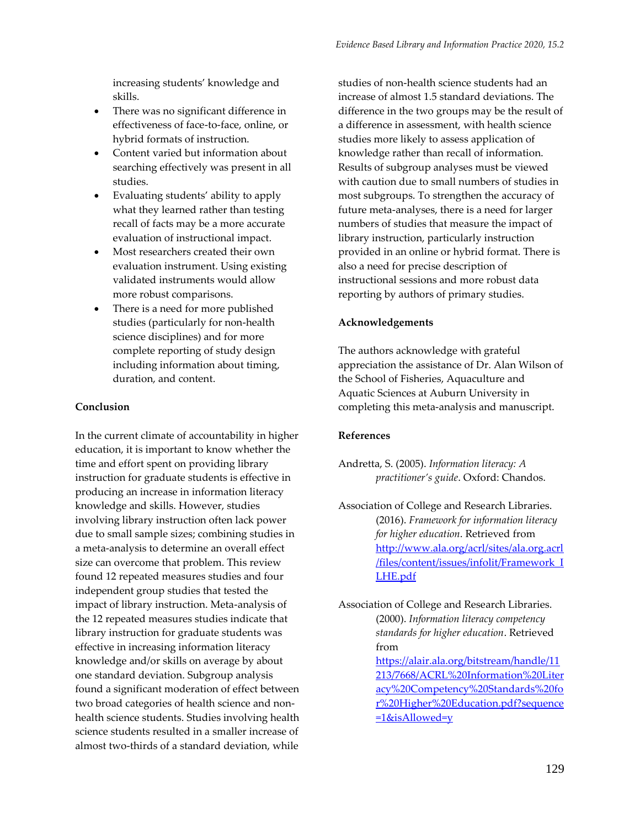increasing students' knowledge and skills.

- There was no significant difference in effectiveness of face-to-face, online, or hybrid formats of instruction.
- Content varied but information about searching effectively was present in all studies.
- Evaluating students' ability to apply what they learned rather than testing recall of facts may be a more accurate evaluation of instructional impact.
- Most researchers created their own evaluation instrument. Using existing validated instruments would allow more robust comparisons.
- There is a need for more published studies (particularly for non-health science disciplines) and for more complete reporting of study design including information about timing, duration, and content.

#### **Conclusion**

In the current climate of accountability in higher education, it is important to know whether the time and effort spent on providing library instruction for graduate students is effective in producing an increase in information literacy knowledge and skills. However, studies involving library instruction often lack power due to small sample sizes; combining studies in a meta-analysis to determine an overall effect size can overcome that problem. This review found 12 repeated measures studies and four independent group studies that tested the impact of library instruction. Meta-analysis of the 12 repeated measures studies indicate that library instruction for graduate students was effective in increasing information literacy knowledge and/or skills on average by about one standard deviation. Subgroup analysis found a significant moderation of effect between two broad categories of health science and nonhealth science students. Studies involving health science students resulted in a smaller increase of almost two-thirds of a standard deviation, while

studies of non-health science students had an increase of almost 1.5 standard deviations. The difference in the two groups may be the result of a difference in assessment, with health science studies more likely to assess application of knowledge rather than recall of information. Results of subgroup analyses must be viewed with caution due to small numbers of studies in most subgroups. To strengthen the accuracy of future meta-analyses, there is a need for larger numbers of studies that measure the impact of library instruction, particularly instruction provided in an online or hybrid format. There is also a need for precise description of instructional sessions and more robust data reporting by authors of primary studies.

#### **Acknowledgements**

The authors acknowledge with grateful appreciation the assistance of Dr. Alan Wilson of the School of Fisheries, Aquaculture and Aquatic Sciences at Auburn University in completing this meta-analysis and manuscript.

#### **References**

- Andretta, S. (2005). *Information literacy: A practitioner's guide*. Oxford: Chandos.
- Association of College and Research Libraries. (2016). *Framework for information literacy for higher education*. Retrieved from [http://www.ala.org/acrl/sites/ala.org.acrl](http://www.ala.org/acrl/sites/ala.org.acrl/files/content/issues/infolit/Framework_ILHE.pdf) [/files/content/issues/infolit/Framework\\_I](http://www.ala.org/acrl/sites/ala.org.acrl/files/content/issues/infolit/Framework_ILHE.pdf) [LHE.pdf](http://www.ala.org/acrl/sites/ala.org.acrl/files/content/issues/infolit/Framework_ILHE.pdf)

Association of College and Research Libraries. (2000). *Information literacy competency standards for higher education*. Retrieved from [https://alair.ala.org/bitstream/handle/11](https://alair.ala.org/bitstream/handle/11213/7668/ACRL%20Information%20Literacy%20Competency%20Standards%20for%20Higher%20Education.pdf?sequence=1&isAllowed=y) [213/7668/ACRL%20Information%20Liter](https://alair.ala.org/bitstream/handle/11213/7668/ACRL%20Information%20Literacy%20Competency%20Standards%20for%20Higher%20Education.pdf?sequence=1&isAllowed=y) [acy%20Competency%20Standards%20fo](https://alair.ala.org/bitstream/handle/11213/7668/ACRL%20Information%20Literacy%20Competency%20Standards%20for%20Higher%20Education.pdf?sequence=1&isAllowed=y) [r%20Higher%20Education.pdf?sequence](https://alair.ala.org/bitstream/handle/11213/7668/ACRL%20Information%20Literacy%20Competency%20Standards%20for%20Higher%20Education.pdf?sequence=1&isAllowed=y)  $=1$ &isAllowed=y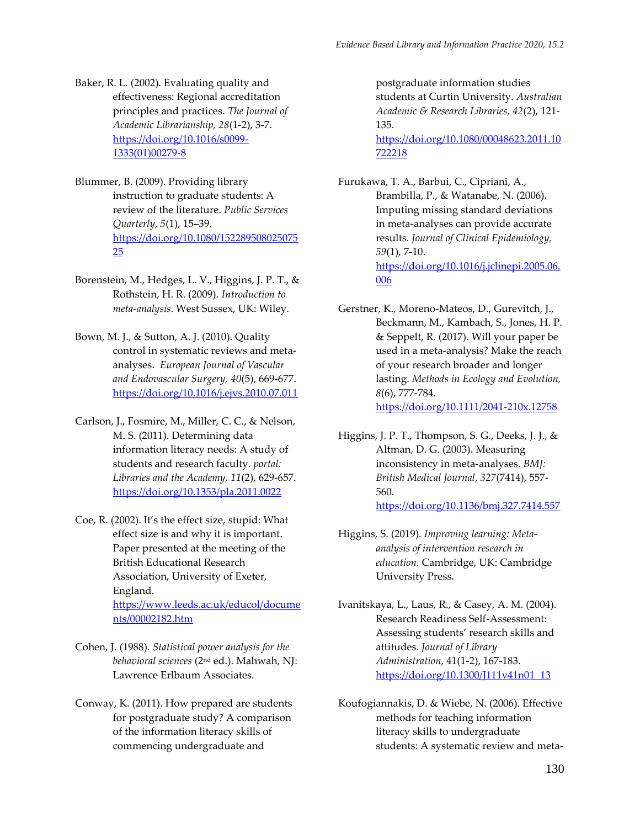- Baker, R. L. (2002). Evaluating quality and effectiveness: Regional accreditation principles and practices. *The Journal of Academic Librarianship, 28*(1-2), 3-7. [https://doi.org/10.1016/s0099-](https://doi.org/10.1016/s0099-1333(01)00279-8) [1333\(01\)00279-8](https://doi.org/10.1016/s0099-1333(01)00279-8)
- Blummer, B. (2009). Providing library instruction to graduate students: A review of the literature. *Public Services Quarterly*, *5*(1), 15–39. [https://doi.org/10.1080/152289508025075](https://doi.org/10.1080/15228950802507525) [25](https://doi.org/10.1080/15228950802507525)
- Borenstein, M., Hedges, L. V., Higgins, J. P. T., & Rothstein, H. R. (2009). *Introduction to meta-analysis*. West Sussex, UK: Wiley.
- Bown, M. J., & Sutton, A. J. (2010). Quality control in systematic reviews and metaanalyses. *European Journal of Vascular and Endovascular Surgery, 40*(5), 669-677. <https://doi.org/10.1016/j.ejvs.2010.07.011>
- Carlson, J., Fosmire, M., Miller, C. C., & Nelson, M. S. (2011). Determining data information literacy needs: A study of students and research faculty. *portal: Libraries and the Academy, 11*(2), 629-657. <https://doi.org/10.1353/pla.2011.0022>
- Coe, R. (2002). It's the effect size, stupid: What effect size is and why it is important. Paper presented at the meeting of the British Educational Research Association, University of Exeter, England. [https://www.leeds.ac.uk/educol/docume](https://www.leeds.ac.uk/educol/documents/00002182.htm) [nts/00002182.htm](https://www.leeds.ac.uk/educol/documents/00002182.htm)
- Cohen, J. (1988). *Statistical power analysis for the behavioral sciences* (2nd ed.). Mahwah, NJ: Lawrence Erlbaum Associates.
- Conway, K. (2011). How prepared are students for postgraduate study? A comparison of the information literacy skills of commencing undergraduate and

postgraduate information studies students at Curtin University. *Australian Academic & Research Libraries, 42*(2), 121- 135.

[https://doi.org/10.1080/00048623.2011.10](https://doi.org/10.1080/00048623.2011.10722218) [722218](https://doi.org/10.1080/00048623.2011.10722218)

Furukawa, T. A., Barbui, C., Cipriani, A., Brambilla, P., & Watanabe, N. (2006). Imputing missing standard deviations in meta-analyses can provide accurate results*. Journal of Clinical Epidemiology, 59*(1), 7-10. [https://doi.org/10.1016/j.jclinepi.2005.06.](https://doi.org/10.1016/j.jclinepi.2005.06.006) [006](https://doi.org/10.1016/j.jclinepi.2005.06.006)

- Gerstner, K., Moreno-Mateos, D., Gurevitch, J., Beckmann, M., Kambach, S., Jones, H. P. & Seppelt, R. (2017). Will your paper be used in a meta-analysis? Make the reach of your research broader and longer lasting. *Methods in Ecology and Evolution, 8*(6), 777-784. <https://doi.org/10.1111/2041-210x.12758>
- Higgins, J. P. T., Thompson, S. G., Deeks, J. J., & Altman, D. G. (2003). Measuring inconsistency in meta-analyses. *BMJ: British Medical Journal*, *327*(7414), 557- 560. <https://doi.org/10.1136/bmj.327.7414.557>
- Higgins, S. (2019). *Improving learning: Metaanalysis of intervention research in education.* Cambridge, UK: Cambridge University Press.

Ivanitskaya, L., Laus, R., & Casey, A. M. (2004). Research Readiness Self-Assessment: Assessing students' research skills and attitudes. *Journal of Library Administration*, 41(1-2), 167-183. [https://doi.org/10.1300/J111v41n01\\_13](https://doi.org/10.1300/J111v41n01_13)

Koufogiannakis, D. & Wiebe, N. (2006). Effective methods for teaching information literacy skills to undergraduate students: A systematic review and meta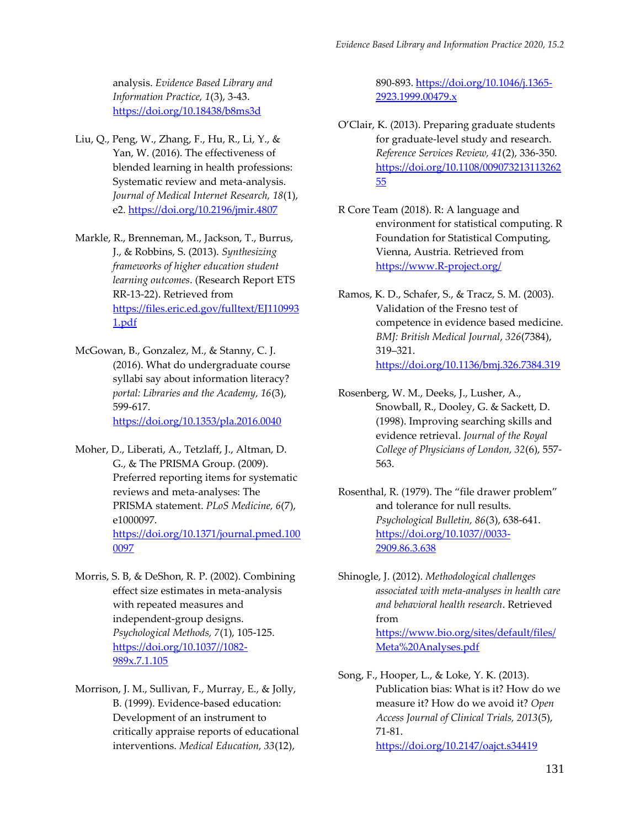analysis. *Evidence Based Library and Information Practice, 1*(3), 3-43. <https://doi.org/10.18438/b8ms3d>

Liu, Q., Peng, W., Zhang, F., Hu, R., Li, Y., & Yan, W. (2016). The effectiveness of blended learning in health professions: Systematic review and meta-analysis. *Journal of Medical Internet Research, 18*(1), e2.<https://doi.org/10.2196/jmir.4807>

Markle, R., Brenneman, M., Jackson, T., Burrus, J., & Robbins, S. (2013). *Synthesizing frameworks of higher education student learning outcomes*. (Research Report ETS RR-13-22). Retrieved from [https://files.eric.ed.gov/fulltext/EJ110993](https://files.eric.ed.gov/fulltext/EJ1109931.pdf) [1.pdf](https://files.eric.ed.gov/fulltext/EJ1109931.pdf)

McGowan, B., Gonzalez, M., & Stanny, C. J. (2016). What do undergraduate course syllabi say about information literacy? *portal: Libraries and the Academy, 16*(3), 599-617. <https://doi.org/10.1353/pla.2016.0040>

Moher, D., Liberati, A., Tetzlaff, J., Altman, D. G., & The PRISMA Group. (2009). Preferred reporting items for systematic reviews and meta-analyses: The PRISMA statement. *PLoS Medicine, 6*(7), e1000097. [https://doi.org/10.1371/journal.pmed.100](https://doi.org/10.1371/journal.pmed.1000097) [0097](https://doi.org/10.1371/journal.pmed.1000097)

Morris, S. B, & DeShon, R. P. (2002). Combining effect size estimates in meta-analysis with repeated measures and independent-group designs. *Psychological Methods, 7*(1), 105-125. [https://doi.org/10.1037//1082-](https://doi.org/10.1037/1082-989x.7.1.105) [989x.7.1.105](https://doi.org/10.1037/1082-989x.7.1.105)

Morrison, J. M., Sullivan, F., Murray, E., & Jolly, B. (1999). Evidence-based education: Development of an instrument to critically appraise reports of educational interventions. *Medical Education, 33*(12),

890-893. [https://doi.org/10.1046/j.1365-](https://doi.org/10.1046/j.1365-2923.1999.00479.x) [2923.1999.00479.x](https://doi.org/10.1046/j.1365-2923.1999.00479.x)

- O'Clair, K. (2013). Preparing graduate students for graduate-level study and research. *Reference Services Review, 41*(2), 336-350. [https://doi.org/10.1108/009073213113262](https://doi.org/10.1108/00907321311326255) [55](https://doi.org/10.1108/00907321311326255)
- R Core Team (2018). R: A language and environment for statistical computing. R Foundation for Statistical Computing, Vienna, Austria. Retrieved from [https://www.R-project.org/](https://www.r-project.org/)
- Ramos, K. D., Schafer, S., & Tracz, S. M. (2003). Validation of the Fresno test of competence in evidence based medicine. *BMJ: British Medical Journal*, *326*(7384), 319–321. <https://doi.org/10.1136/bmj.326.7384.319>
- Rosenberg, W. M., Deeks, J., Lusher, A., Snowball, R., Dooley, G. & Sackett, D. (1998). Improving searching skills and evidence retrieval. *Journal of the Royal College of Physicians of London, 32*(6), 557- 563.
- Rosenthal, R. (1979). The "file drawer problem" and tolerance for null results. *Psychological Bulletin, 86*(3), 638-641. [https://doi.org/10.1037//0033-](https://doi.org/10.1037/0033-2909.86.3.638) [2909.86.3.638](https://doi.org/10.1037/0033-2909.86.3.638)
- Shinogle, J. (2012). *Methodological challenges associated with meta-analyses in health care and behavioral health research*. Retrieved from [https://www.bio.org/sites/default/files/](https://www.bio.org/sites/default/files/Meta%20Analyses.pdf) [Meta%20Analyses.pdf](https://www.bio.org/sites/default/files/Meta%20Analyses.pdf)
- Song, F., Hooper, L., & Loke, Y. K. (2013). Publication bias: What is it? How do we measure it? How do we avoid it? *Open Access Journal of Clinical Trials, 2013*(5), 71-81. <https://doi.org/10.2147/oajct.s34419>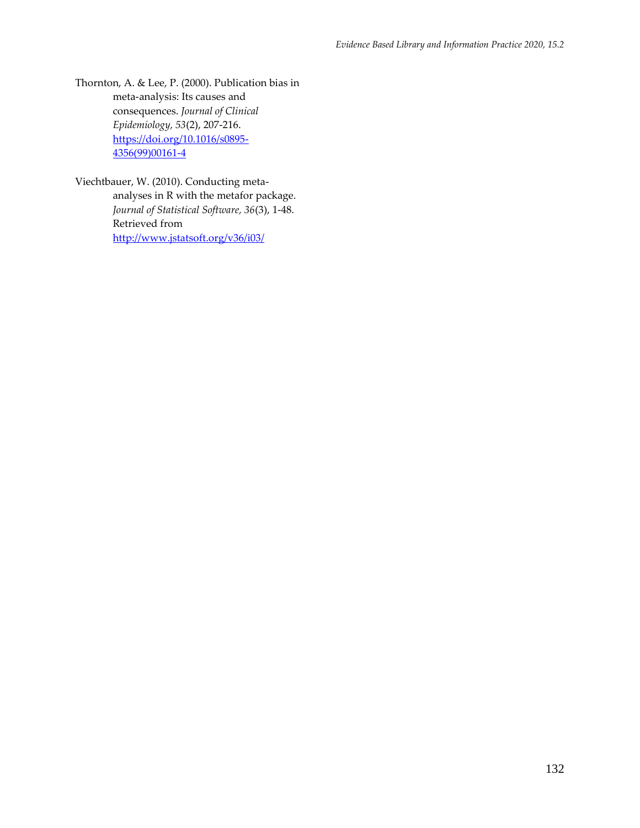Thornton, A. & Lee, P. (2000). Publication bias in meta-analysis: Its causes and consequences. *Journal of Clinical Epidemiology, 53*(2), 207-216. [https://doi.org/10.1016/s0895-](https://doi.org/10.1016/s0895-4356(99)00161-4) [4356\(99\)00161-4](https://doi.org/10.1016/s0895-4356(99)00161-4)

Viechtbauer, W. (2010). Conducting metaanalyses in R with the metafor package. *Journal of Statistical Software, 36*(3), 1-48. Retrieved from <http://www.jstatsoft.org/v36/i03/>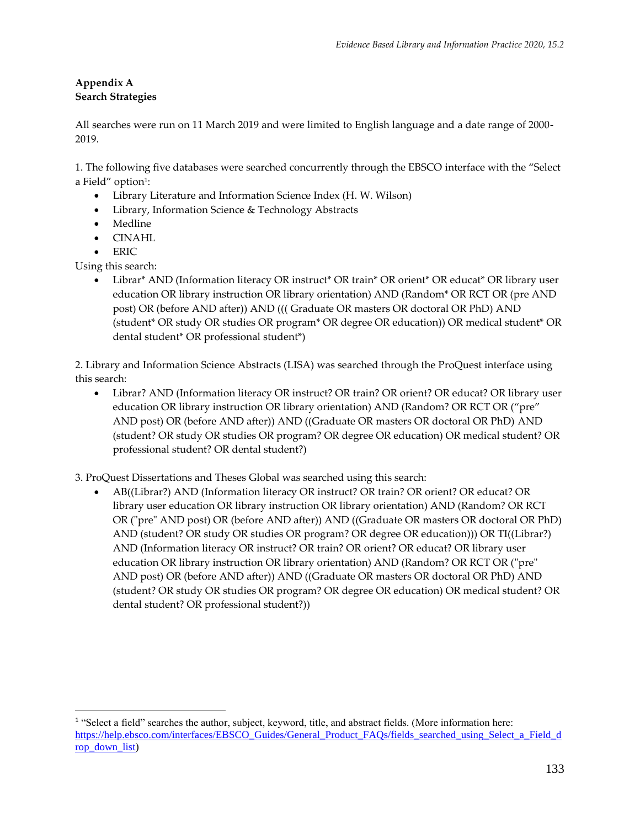## **Appendix A Search Strategies**

All searches were run on 11 March 2019 and were limited to English language and a date range of 2000- 2019.

1. The following five databases were searched concurrently through the EBSCO interface with the "Select a Field" option<sup>1</sup>:

- Library Literature and Information Science Index (H. W. Wilson)
- Library, Information Science & Technology Abstracts
- Medline
- CINAHL
- ERIC

Using this search:

 $\overline{a}$ 

• Librar\* AND (Information literacy OR instruct\* OR train\* OR orient\* OR educat\* OR library user education OR library instruction OR library orientation) AND (Random\* OR RCT OR (pre AND post) OR (before AND after)) AND ((( Graduate OR masters OR doctoral OR PhD) AND (student\* OR study OR studies OR program\* OR degree OR education)) OR medical student\* OR dental student\* OR professional student\*)

2. Library and Information Science Abstracts (LISA) was searched through the ProQuest interface using this search:

• Librar? AND (Information literacy OR instruct? OR train? OR orient? OR educat? OR library user education OR library instruction OR library orientation) AND (Random? OR RCT OR ("pre" AND post) OR (before AND after)) AND ((Graduate OR masters OR doctoral OR PhD) AND (student? OR study OR studies OR program? OR degree OR education) OR medical student? OR professional student? OR dental student?)

3. ProQuest Dissertations and Theses Global was searched using this search:

• AB((Librar?) AND (Information literacy OR instruct? OR train? OR orient? OR educat? OR library user education OR library instruction OR library orientation) AND (Random? OR RCT OR ("pre" AND post) OR (before AND after)) AND ((Graduate OR masters OR doctoral OR PhD) AND (student? OR study OR studies OR program? OR degree OR education))) OR TI((Librar?) AND (Information literacy OR instruct? OR train? OR orient? OR educat? OR library user education OR library instruction OR library orientation) AND (Random? OR RCT OR ("pre" AND post) OR (before AND after)) AND ((Graduate OR masters OR doctoral OR PhD) AND (student? OR study OR studies OR program? OR degree OR education) OR medical student? OR dental student? OR professional student?))

<sup>&</sup>lt;sup>1</sup> "Select a field" searches the author, subject, keyword, title, and abstract fields. (More information here: [https://help.ebsco.com/interfaces/EBSCO\\_Guides/General\\_Product\\_FAQs/fields\\_searched\\_using\\_Select\\_a\\_Field\\_d](https://help.ebsco.com/interfaces/EBSCO_Guides/General_Product_FAQs/fields_searched_using_Select_a_Field_drop_down_list) [rop\\_down\\_list\)](https://help.ebsco.com/interfaces/EBSCO_Guides/General_Product_FAQs/fields_searched_using_Select_a_Field_drop_down_list)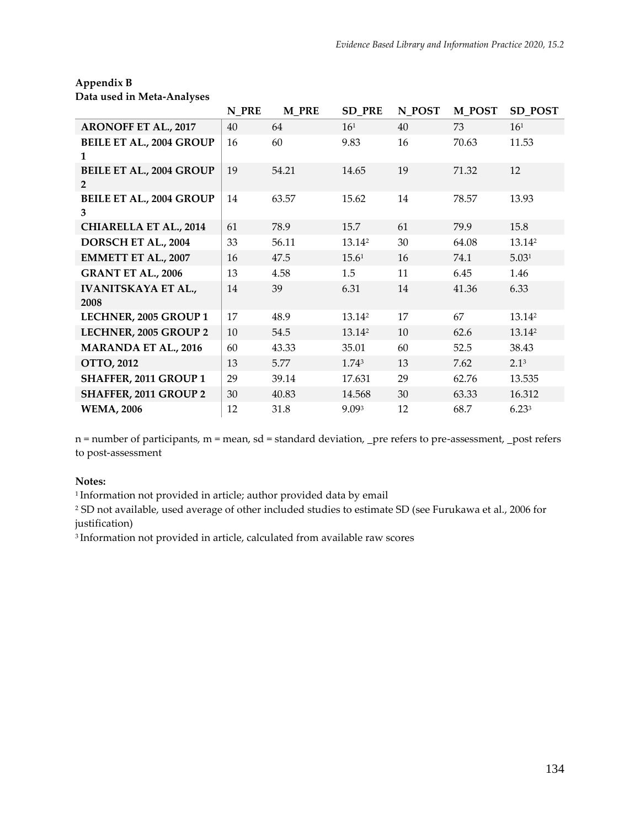# **Appendix B**

| Data used in Meta-Analyses                        |       |              |                    |        |               |                    |
|---------------------------------------------------|-------|--------------|--------------------|--------|---------------|--------------------|
|                                                   | N PRE | <b>M_PRE</b> | <b>SD_PRE</b>      | N_POST | <b>M_POST</b> | <b>SD_POST</b>     |
| <b>ARONOFF ET AL., 2017</b>                       | 40    | 64           | 16 <sup>1</sup>    | 40     | 73            | 16 <sup>1</sup>    |
| <b>BEILE ET AL., 2004 GROUP</b><br>1              | 16    | 60           | 9.83               | 16     | 70.63         | 11.53              |
| <b>BEILE ET AL., 2004 GROUP</b><br>$\overline{2}$ | 19    | 54.21        | 14.65              | 19     | 71.32         | 12                 |
| <b>BEILE ET AL., 2004 GROUP</b><br>3              | 14    | 63.57        | 15.62              | 14     | 78.57         | 13.93              |
| <b>CHIARELLA ET AL., 2014</b>                     | 61    | 78.9         | 15.7               | 61     | 79.9          | 15.8               |
| DORSCH ET AL., 2004                               | 33    | 56.11        | 13.14 <sup>2</sup> | 30     | 64.08         | 13.14 <sup>2</sup> |
| <b>EMMETT ET AL., 2007</b>                        | 16    | 47.5         | 15.61              | 16     | 74.1          | 5.031              |
| <b>GRANT ET AL., 2006</b>                         | 13    | 4.58         | 1.5                | 11     | 6.45          | 1.46               |
| <b>IVANITSKAYA ET AL.,</b><br>2008                | 14    | 39           | 6.31               | 14     | 41.36         | 6.33               |
| LECHNER, 2005 GROUP 1                             | 17    | 48.9         | 13.14 <sup>2</sup> | 17     | 67            | 13.14 <sup>2</sup> |
| LECHNER, 2005 GROUP 2                             | 10    | 54.5         | 13.142             | 10     | 62.6          | 13.142             |
| <b>MARANDA ET AL., 2016</b>                       | 60    | 43.33        | 35.01              | 60     | 52.5          | 38.43              |
| OTTO, 2012                                        | 13    | 5.77         | 1.743              | 13     | 7.62          | 2.1 <sup>3</sup>   |
| SHAFFER, 2011 GROUP 1                             | 29    | 39.14        | 17.631             | 29     | 62.76         | 13.535             |
| SHAFFER, 2011 GROUP 2                             | 30    | 40.83        | 14.568             | 30     | 63.33         | 16.312             |
| <b>WEMA, 2006</b>                                 | 12    | 31.8         | 9.093              | 12     | 68.7          | 6.23 <sup>3</sup>  |

n = number of participants, m = mean, sd = standard deviation, \_pre refers to pre-assessment, \_post refers to post-assessment

#### **Notes:**

<sup>1</sup> Information not provided in article; author provided data by email

<sup>2</sup> SD not available, used average of other included studies to estimate SD (see Furukawa et al., 2006 for justification)

3 Information not provided in article, calculated from available raw scores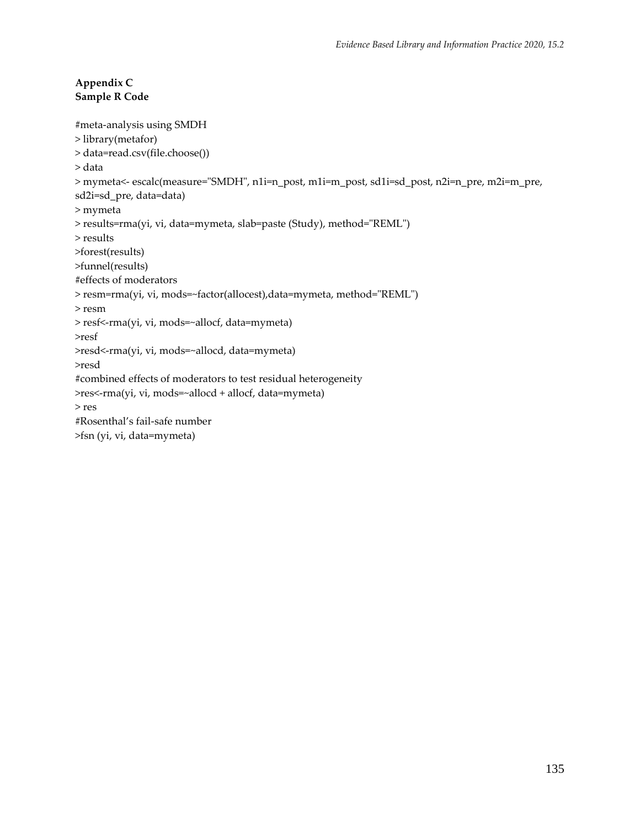## **Appendix C Sample R Code**

```
#meta-analysis using SMDH
> library(metafor)
> data=read.csv(file.choose())
> data
> mymeta<- escalc(measure="SMDH", n1i=n_post, m1i=m_post, sd1i=sd_post, n2i=n_pre, m2i=m_pre, 
sd2i=sd_pre, data=data)
> mymeta
> results=rma(yi, vi, data=mymeta, slab=paste (Study), method="REML")
> results
>forest(results)
>funnel(results)
#effects of moderators
> resm=rma(yi, vi, mods=~factor(allocest),data=mymeta, method="REML")
> resm
> resf<-rma(yi, vi, mods=~allocf, data=mymeta)
>resf
>resd<-rma(yi, vi, mods=~allocd, data=mymeta)
>resd
#combined effects of moderators to test residual heterogeneity
>res<-rma(yi, vi, mods=~allocd + allocf, data=mymeta)
> res
#Rosenthal's fail-safe number
>fsn (yi, vi, data=mymeta)
```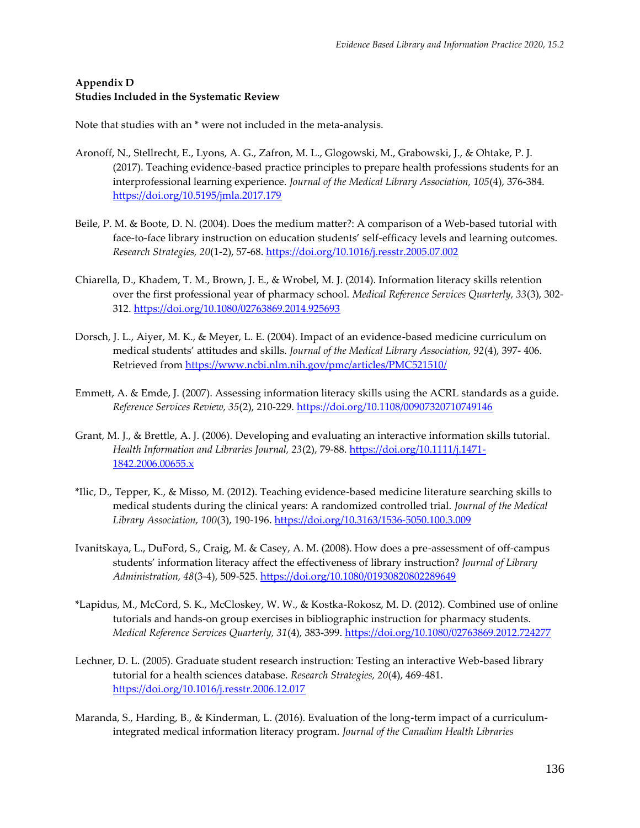#### **Appendix D Studies Included in the Systematic Review**

Note that studies with an \* were not included in the meta-analysis.

- Aronoff, N., Stellrecht, E., Lyons, A. G., Zafron, M. L., Glogowski, M., Grabowski, J., & Ohtake, P. J. (2017). Teaching evidence-based practice principles to prepare health professions students for an interprofessional learning experience. *Journal of the Medical Library Association, 105*(4), 376-384. <https://doi.org/10.5195/jmla.2017.179>
- Beile, P. M. & Boote, D. N. (2004). Does the medium matter?: A comparison of a Web-based tutorial with face-to-face library instruction on education students' self-efficacy levels and learning outcomes. *Research Strategies, 20*(1-2), 57-68[. https://doi.org/10.1016/j.resstr.2005.07.002](https://doi.org/10.1016/j.resstr.2005.07.002)
- Chiarella, D., Khadem, T. M., Brown, J. E., & Wrobel, M. J. (2014). Information literacy skills retention over the first professional year of pharmacy school. *Medical Reference Services Quarterly, 33*(3), 302- 312.<https://doi.org/10.1080/02763869.2014.925693>
- Dorsch, J. L., Aiyer, M. K., & Meyer, L. E. (2004). Impact of an evidence-based medicine curriculum on medical students' attitudes and skills. *Journal of the Medical Library Association, 92*(4), 397- 406. Retrieved from<https://www.ncbi.nlm.nih.gov/pmc/articles/PMC521510/>
- Emmett, A. & Emde, J. (2007). Assessing information literacy skills using the ACRL standards as a guide. *Reference Services Review, 35*(2), 210-229.<https://doi.org/10.1108/00907320710749146>
- Grant, M. J., & Brettle, A. J. (2006). Developing and evaluating an interactive information skills tutorial. *Health Information and Libraries Journal, 23*(2), 79-88. [https://doi.org/10.1111/j.1471-](https://doi.org/10.1111/j.1471-1842.2006.00655.x) [1842.2006.00655.x](https://doi.org/10.1111/j.1471-1842.2006.00655.x)
- \*Ilic, D., Tepper, K., & Misso, M. (2012). Teaching evidence-based medicine literature searching skills to medical students during the clinical years: A randomized controlled trial. *Journal of the Medical Library Association, 100*(3), 190-196[. https://doi.org/10.3163/1536-5050.100.3.009](https://doi.org/10.3163/1536-5050.100.3.009)
- Ivanitskaya, L., DuFord, S., Craig, M. & Casey, A. M. (2008). How does a pre-assessment of off-campus students' information literacy affect the effectiveness of library instruction? *Journal of Library Administration, 48*(3-4), 509-525.<https://doi.org/10.1080/01930820802289649>
- \*Lapidus, M., McCord, S. K., McCloskey, W. W., & Kostka-Rokosz, M. D. (2012). Combined use of online tutorials and hands-on group exercises in bibliographic instruction for pharmacy students. *Medical Reference Services Quarterly, 31*(4), 383-399.<https://doi.org/10.1080/02763869.2012.724277>
- Lechner, D. L. (2005). Graduate student research instruction: Testing an interactive Web-based library tutorial for a health sciences database. *Research Strategies, 20*(4), 469-481. <https://doi.org/10.1016/j.resstr.2006.12.017>
- Maranda, S., Harding, B., & Kinderman, L. (2016). Evaluation of the long-term impact of a curriculumintegrated medical information literacy program. *Journal of the Canadian Health Libraries*